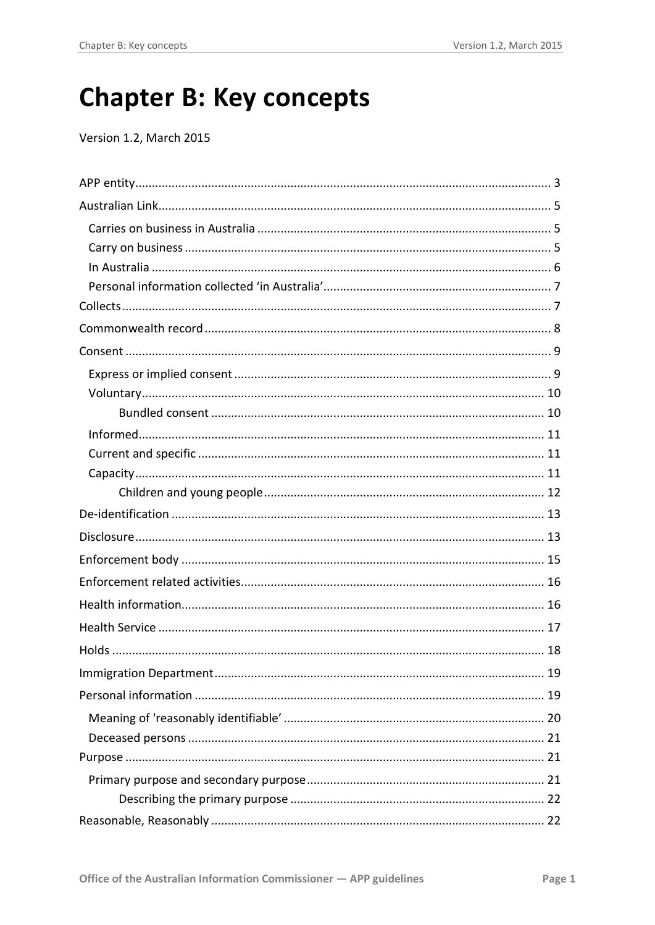# **Chapter B: Key concepts**

Version 1.2, March 2015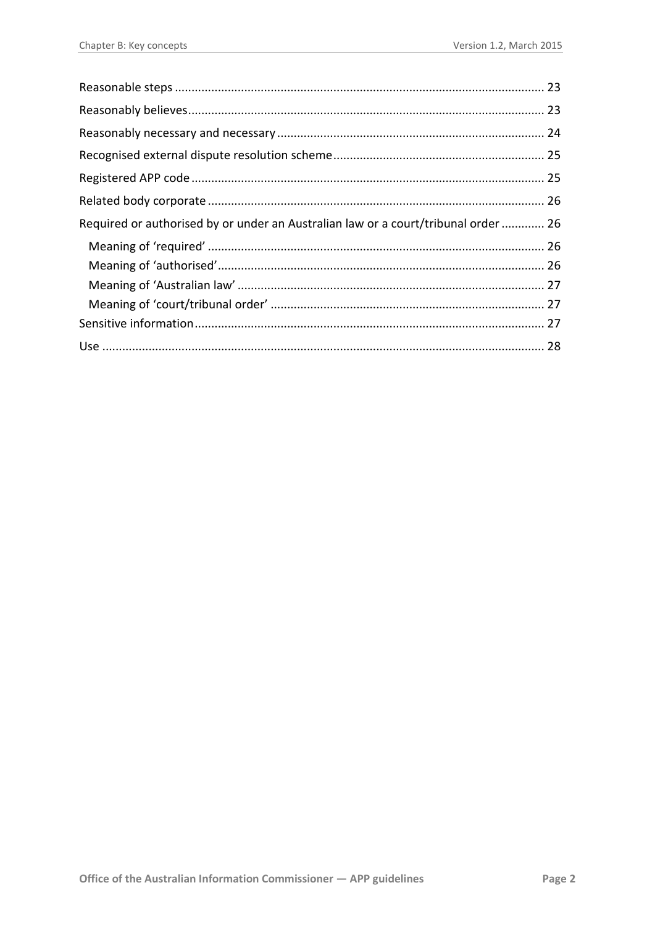| Required or authorised by or under an Australian law or a court/tribunal order  26 |  |
|------------------------------------------------------------------------------------|--|
|                                                                                    |  |
|                                                                                    |  |
|                                                                                    |  |
|                                                                                    |  |
|                                                                                    |  |
|                                                                                    |  |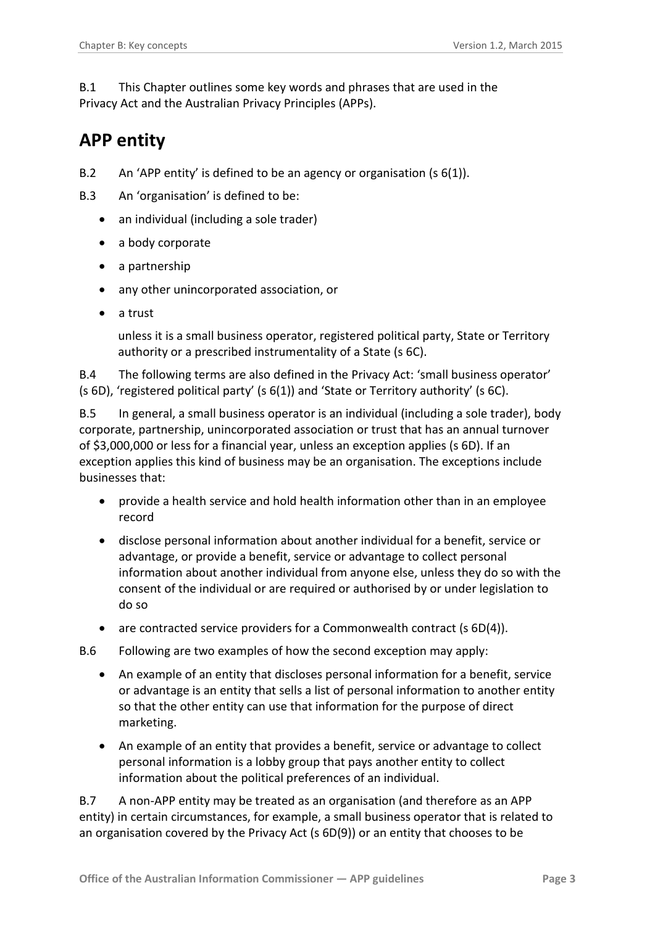B.1 This Chapter outlines some key words and phrases that are used in the Privacy Act and the Australian Privacy Principles (APPs).

# <span id="page-2-0"></span>**APP entity**

- B.2 An 'APP entity' is defined to be an agency or organisation (s 6(1)).
- B.3 An 'organisation' is defined to be:
	- an individual (including a sole trader)
	- a body corporate
	- a partnership
	- any other unincorporated association, or
	- a trust

unless it is a small business operator, registered political party, State or Territory authority or a prescribed instrumentality of a State (s 6C).

B.4 The following terms are also defined in the Privacy Act: 'small business operator' (s 6D), 'registered political party' (s 6(1)) and 'State or Territory authority' (s 6C).

B.5 In general, a small business operator is an individual (including a sole trader), body corporate, partnership, unincorporated association or trust that has an annual turnover of \$3,000,000 or less for a financial year, unless an exception applies (s 6D). If an exception applies this kind of business may be an organisation. The exceptions include businesses that:

- provide a health service and hold health information other than in an employee record
- disclose personal information about another individual for a benefit, service or advantage, or provide a benefit, service or advantage to collect personal information about another individual from anyone else, unless they do so with the consent of the individual or are required or authorised by or under legislation to do so
- are contracted service providers for a Commonwealth contract (s 6D(4)).
- B.6 Following are two examples of how the second exception may apply:
	- An example of an entity that discloses personal information for a benefit, service or advantage is an entity that sells a list of personal information to another entity so that the other entity can use that information for the purpose of direct marketing.
	- An example of an entity that provides a benefit, service or advantage to collect personal information is a lobby group that pays another entity to collect information about the political preferences of an individual.

B.7 A non-APP entity may be treated as an organisation (and therefore as an APP entity) in certain circumstances, for example, a small business operator that is related to an organisation covered by the Privacy Act (s 6D(9)) or an entity that chooses to be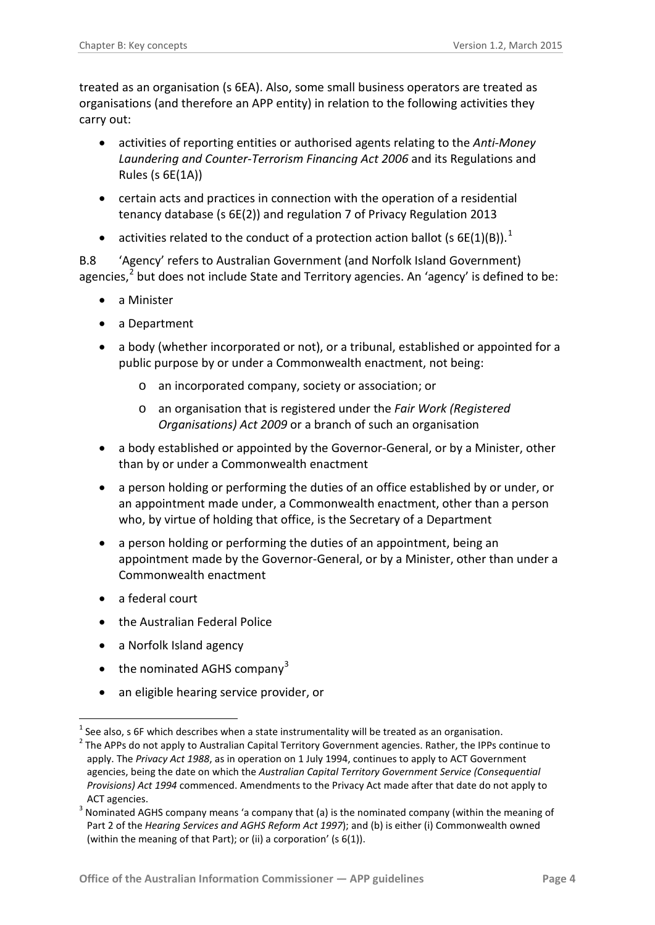treated as an organisation (s 6EA). Also, some small business operators are treated as organisations (and therefore an APP entity) in relation to the following activities they carry out:

- activities of reporting entities or authorised agents relating to the *[Anti-Money](http://www.oaic.gov.au/privacy/privacy-topics/business-and-small-business/privacy-and-the-anti-money-laundering-and-counter-terrorism-financing-act-2006-aml-ctf-act)  [Laundering and Counter-Terrorism Financing Act 2006](http://www.oaic.gov.au/privacy/privacy-topics/business-and-small-business/privacy-and-the-anti-money-laundering-and-counter-terrorism-financing-act-2006-aml-ctf-act)* and its Regulations and Rules (s 6E(1A))
- certain acts and practices in connection with the operation of a residential tenancy database (s 6E(2)) and regulation 7 of Privacy Regulation 2013
- activities related to the conduct of a protection action ballot (s 6E([1](#page-3-0))(B)).<sup>1</sup>

B.8 'Agency' refers to Australian Government (and Norfolk Island Government) agencies,<sup>[2](#page-3-1)</sup> but does not include State and Territory agencies. An 'agency' is defined to be:

- a Minister
- a Department
- a body (whether incorporated or not), or a tribunal, established or appointed for a public purpose by or under a Commonwealth enactment, not being:
	- o an incorporated company, society or association; or
	- o an organisation that is registered under the *Fair Work (Registered Organisations) Act 2009* or a branch of such an organisation
- a body established or appointed by the Governor-General, or by a Minister, other than by or under a Commonwealth enactment
- a person holding or performing the duties of an office established by or under, or an appointment made under, a Commonwealth enactment, other than a person who, by virtue of holding that office, is the Secretary of a Department
- a person holding or performing the duties of an appointment, being an appointment made by the Governor-General, or by a Minister, other than under a Commonwealth enactment
- a federal court

1

- the Australian Federal Police
- a Norfolk Island agency
- the nominated AGHS company<sup>[3](#page-3-2)</sup>
- an eligible hearing service provider, or

<span id="page-3-0"></span>See also, s 6F which describes when a state instrumentality will be treated as an organisation.

<span id="page-3-1"></span> $2$  The APPs do not apply to Australian Capital Territory Government agencies. Rather, the IPPs continue to apply. The *Privacy Act 1988*, as in operation on 1 July 1994, continues to apply to ACT Government agencies, being the date on which the *Australian Capital Territory Government Service (Consequential Provisions) Act 1994* commenced. Amendments to the Privacy Act made after that date do not apply to ACT agencies.

<span id="page-3-2"></span><sup>&</sup>lt;sup>3</sup> Nominated AGHS company means 'a company that (a) is the nominated company (within the meaning of Part 2 of the *Hearing Services and AGHS Reform Act 1997*); and (b) is either (i) Commonwealth owned (within the meaning of that Part); or (ii) a corporation' (s 6(1)).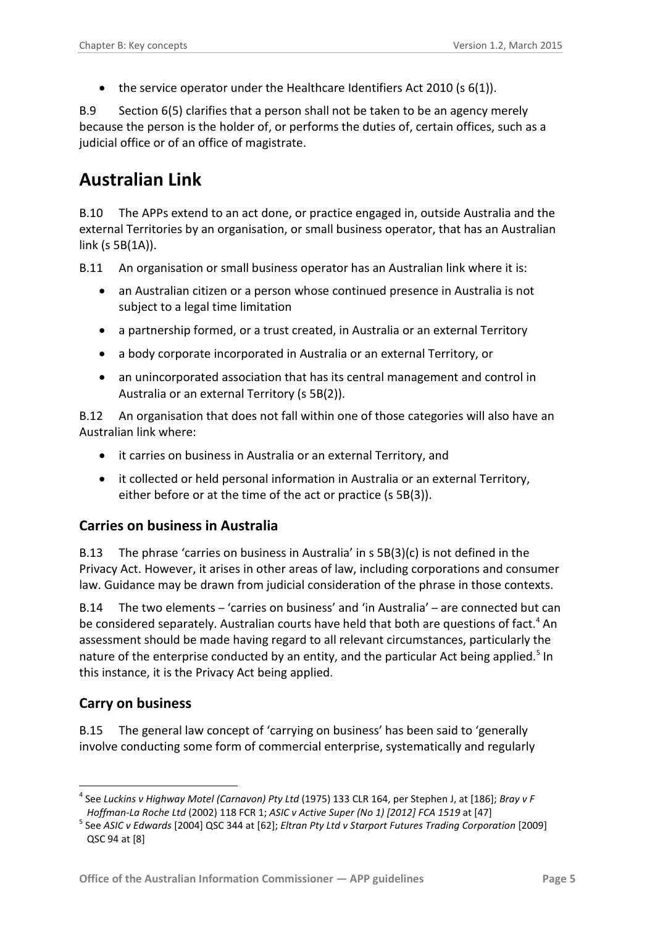• the service operator under the Healthcare Identifiers Act 2010 (s 6(1)).

B.9 Section 6(5) clarifies that a person shall not be taken to be an agency merely because the person is the holder of, or performs the duties of, certain offices, such as a judicial office or of an office of magistrate.

### <span id="page-4-0"></span>**Australian Link**

B.10 The APPs extend to an act done, or practice engaged in, outside Australia and the external Territories by an organisation, or small business operator, that has an Australian link (s 5B(1A)).

B.11 An organisation or small business operator has an Australian link where it is:

- an Australian citizen or a person whose continued presence in Australia is not subject to a legal time limitation
- a partnership formed, or a trust created, in Australia or an external Territory
- a body corporate incorporated in Australia or an external Territory, or
- an unincorporated association that has its central management and control in Australia or an external Territory (s 5B(2)).

B.12 An organisation that does not fall within one of those categories will also have an Australian link where:

- it carries on business in Australia or an external Territory, and
- it collected or held personal information in Australia or an external Territory, either before or at the time of the act or practice (s 5B(3)).

#### <span id="page-4-1"></span>**Carries on business in Australia**

B.13 The phrase 'carries on business in Australia' in s 5B(3)(c) is not defined in the Privacy Act. However, it arises in other areas of law, including corporations and consumer law. Guidance may be drawn from judicial consideration of the phrase in those contexts.

B.14 The two elements – 'carries on business' and 'in Australia' – are connected but can be considered separately. Australian courts have held that both are questions of fact.<sup>[4](#page-4-3)</sup> An assessment should be made having regard to all relevant circumstances, particularly the nature of the enterprise conducted by an entity, and the particular Act being applied.<sup>[5](#page-4-4)</sup> In this instance, it is the Privacy Act being applied.

#### <span id="page-4-2"></span>**Carry on business**

1

B.15 The general law concept of 'carrying on business' has been said to 'generally involve conducting some form of commercial enterprise, systematically and regularly

<span id="page-4-3"></span><sup>4</sup> See *Luckins v Highway Motel (Carnavon) Pty Ltd* (1975) 133 CLR 164, per Stephen J, at [186]; *Bray v F* 

<span id="page-4-4"></span>Hoffman-La Roche Ltd (2002) 118 FCR 1; ASIC v Active Super (No 1) [2012] FCA 1519 at [47]<br><sup>5</sup> See ASIC v Edwards [\[2004\] QSC 344](http://www.austlii.edu.au/au/cases/qld/QSC/2004/344.html) at [62]; Eltran Pty Ltd v Starport Futures Trading Corporation [2009] [QSC 94](http://www.austlii.edu.au/au/cases/qld/QSC/2009/94.html) at [8]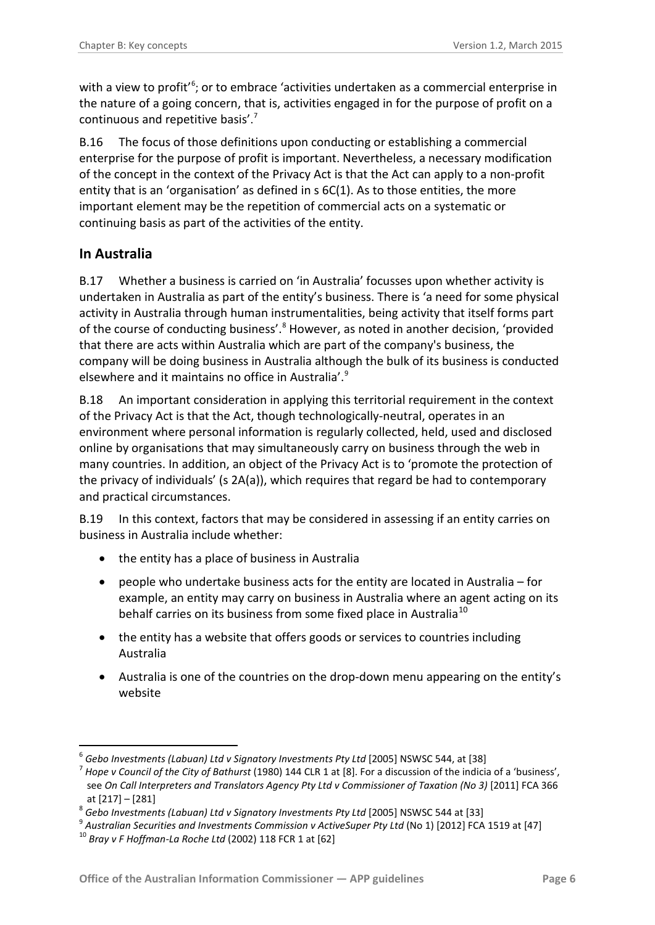with a view to profit'<sup>[6](#page-5-1)</sup>; or to embrace 'activities undertaken as a commercial enterprise in the nature of a going concern, that is, activities engaged in for the purpose of profit on a continuous and repetitive basis'. [7](#page-5-2)

B.16 The focus of those definitions upon conducting or establishing a commercial enterprise for the purpose of profit is important. Nevertheless, a necessary modification of the concept in the context of the Privacy Act is that the Act can apply to a non-profit entity that is an 'organisation' as defined in s 6C(1). As to those entities, the more important element may be the repetition of commercial acts on a systematic or continuing basis as part of the activities of the entity.

#### <span id="page-5-0"></span>**In Australia**

-

B.17 Whether a business is carried on 'in Australia' focusses upon whether activity is undertaken in Australia as part of the entity's business. There is 'a need for some physical activity in Australia through human instrumentalities, being activity that itself forms part of the course of conducting business'.<sup>[8](#page-5-3)</sup> However, as noted in another decision, 'provided that there are acts within Australia which are part of the company's business, the company will be doing business in Australia although the bulk of its business is conducted elsewhere and it maintains no office in Australia'.<sup>[9](#page-5-4)</sup>

B.18 An important consideration in applying this territorial requirement in the context of the Privacy Act is that the Act, though technologically-neutral, operates in an environment where personal information is regularly collected, held, used and disclosed online by organisations that may simultaneously carry on business through the web in many countries. In addition, an object of the Privacy Act is to 'promote the protection of the privacy of individuals' (s 2A(a)), which requires that regard be had to contemporary and practical circumstances.

B.19 In this context, factors that may be considered in assessing if an entity carries on business in Australia include whether:

- the entity has a place of business in Australia
- people who undertake business acts for the entity are located in Australia for example, an entity may carry on business in Australia where an agent acting on its behalf carries on its business from some fixed place in Australia<sup>[10](#page-5-5)</sup>
- the entity has a website that offers goods or services to countries including Australia
- Australia is one of the countries on the drop-down menu appearing on the entity's website

<span id="page-5-2"></span><span id="page-5-1"></span> $^6$  Gebo Investments (Labuan) Ltd v Signatory Investments Pty Ltd [\[2005\] NSWSC 544,](http://www.austlii.edu.au/au/cases/nsw/supreme_ct/2005/544.html) at [38]<br><sup>7</sup> Hope v Council of the City of Bathurst (1980) [144 CLR 1](http://austlii.edu.au/au/cases/cth/HCA/144clr1.html) at [8]. For a discussion of the indicia of a 'business', see On Call Interpreters and Translators Agency Pty Ltd v Commissioner of Taxation (No 3) [2011] FCA 366

<span id="page-5-3"></span>at [217] – [281]<br>
<sup>8</sup> Gebo Investments (Labuan) Ltd v Signatory Investments Pty Ltd [\[2005\] NSWSC 544](http://www.austlii.edu.au/au/cases/nsw/supreme_ct/2005/544.html) at [33]<br>
<sup>9</sup> Australian Securities and Investments Commission v ActiveSuper Pty Ltd (No 1) [2012] FCA 1519 at [47]<br>
<sup>10</sup>

<span id="page-5-5"></span><span id="page-5-4"></span>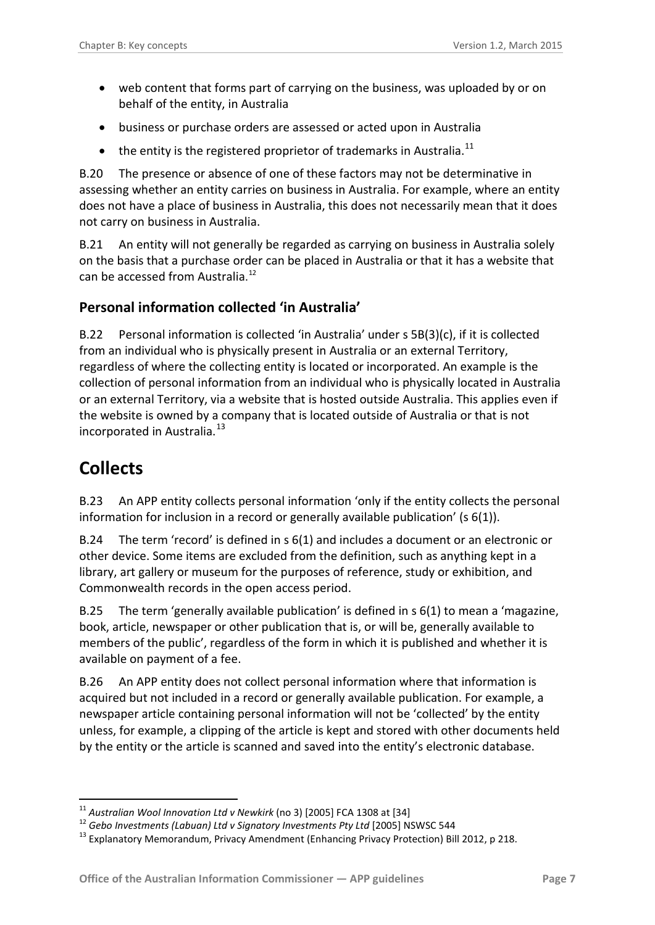- web content that forms part of carrying on the business, was uploaded by or on behalf of the entity, in Australia
- business or purchase orders are assessed or acted upon in Australia
- $\bullet$  the entity is the registered proprietor of trademarks in Australia.<sup>[11](#page-6-2)</sup>

B.20 The presence or absence of one of these factors may not be determinative in assessing whether an entity carries on business in Australia. For example, where an entity does not have a place of business in Australia, this does not necessarily mean that it does not carry on business in Australia.

B.21 An entity will not generally be regarded as carrying on business in Australia solely on the basis that a purchase order can be placed in Australia or that it has a website that can be accessed from Australia.<sup>[12](#page-6-3)</sup>

#### <span id="page-6-0"></span>**Personal information collected 'in Australia'**

B.22 Personal information is collected 'in Australia' under s 5B(3)(c), if it is collected from an individual who is physically present in Australia or an external Territory, regardless of where the collecting entity is located or incorporated. An example is the collection of personal information from an individual who is physically located in Australia or an external Territory, via a website that is hosted outside Australia. This applies even if the website is owned by a company that is located outside of Australia or that is not incorporated in Australia.<sup>13</sup>

# <span id="page-6-1"></span>**Collects**

B.23 An APP entity collects personal information 'only if the entity collects the personal information for inclusion in a record or generally available publication' ( $s$  6(1)).

B.24 The term 'record' is defined in s 6(1) and includes a document or an electronic or other device. Some items are excluded from the definition, such as anything kept in a library, art gallery or museum for the purposes of reference, study or exhibition, and Commonwealth records in the open access period.

B.25 The term 'generally available publication' is defined in s 6(1) to mean a 'magazine, book, article, newspaper or other publication that is, or will be, generally available to members of the public', regardless of the form in which it is published and whether it is available on payment of a fee.

B.26 An APP entity does not collect personal information where that information is acquired but not included in a record or generally available publication. For example, a newspaper article containing personal information will not be 'collected' by the entity unless, for example, a clipping of the article is kept and stored with other documents held by the entity or the article is scanned and saved into the entity's electronic database.

<span id="page-6-2"></span> $11$  Australian Wool Innovation Ltd v Newkirk (no 3) [2005] FCA 1308 at [34]

<span id="page-6-4"></span><span id="page-6-3"></span><sup>&</sup>lt;sup>12</sup> Gebo Investments (Labuan) Ltd v Signatory Investments Pty Ltd [\[2005\] NSWSC 544](http://www.austlii.edu.au/au/cases/nsw/supreme_ct/2005/544.html)<br><sup>13</sup> Explanatory Memorandum, Privacy Amendment (Enhancing Privacy Protection) Bill 2012, p 218.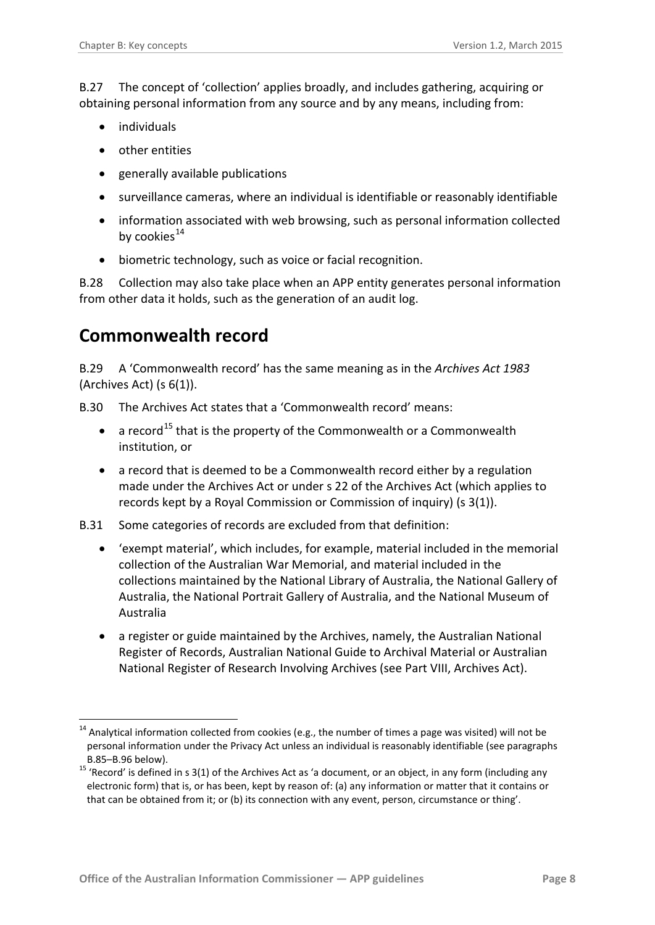B.27 The concept of 'collection' applies broadly, and includes gathering, acquiring or obtaining personal information from any source and by any means, including from:

- individuals
- other entities
- generally available publications
- surveillance cameras, where an individual is identifiable or reasonably identifiable
- information associated with web browsing, such as personal information collected by cookies $^{14}$  $^{14}$  $^{14}$
- biometric technology, such as voice or facial recognition.

B.28 Collection may also take place when an APP entity generates personal information from other data it holds, such as the generation of an audit log.

### <span id="page-7-0"></span>**Commonwealth record**

-

B.29 A 'Commonwealth record' has the same meaning as in the *Archives Act 1983* (Archives Act) (s 6(1)).

- B.30 The Archives Act states that a 'Commonwealth record' means:
	- a record<sup>[15](#page-7-2)</sup> that is the property of the Commonwealth or a Commonwealth institution, or
	- a record that is deemed to be a Commonwealth record either by a regulation made under the Archives Act or under s 22 of the Archives Act (which applies to records kept by a Royal Commission or Commission of inquiry) (s 3(1)).
- B.31 Some categories of records are excluded from that definition:
	- 'exempt material', which includes, for example, material included in the memorial collection of the Australian War Memorial, an[d material](http://www.austlii.edu.au/au/legis/cth/consol_act/aa198398/s3.html%23material) included in the collections maintained by the National Library of Australia, the National Gallery of Australia, the National Portrait Gallery of Australia, and the National Museum of Australia
	- a register or guide maintained by the Archives, namely, the Australian National Register of Records, Australian National Guide to Archival Material or Australian National Register of Research Involving Archives (see Part VIII, Archives Act).

<span id="page-7-1"></span> $14$  Analytical information collected from cookies (e.g., the number of times a page was visited) will not be personal information under the Privacy Act unless an individual is reasonably identifiable (see paragraphs

<span id="page-7-2"></span>B.85[–B.96](#page-20-3) below).<br><sup>15</sup> 'Record' is defined in s 3(1) of the Archives Act as 'a document, or an object, in any form (including any electronic form) that is, or has been, kept by reason of: (a) any information or matter that it contains or that can be obtained from it; or (b) its connection with any event, person, circumstance or thing'.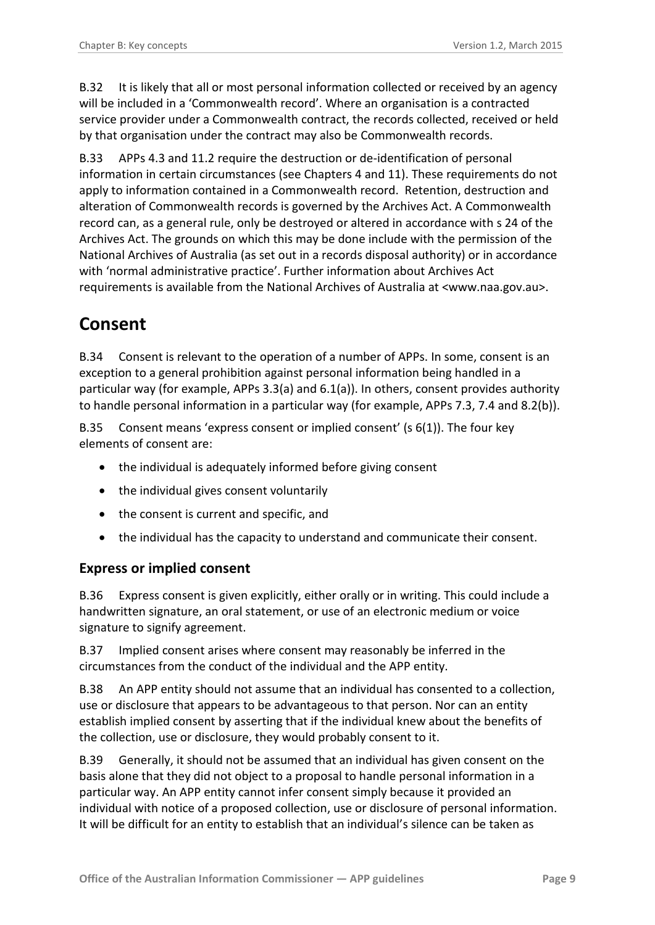B.32 It is likely that all or most personal information collected or received by an agency will be included in a 'Commonwealth record'. Where an organisation is a contracted service provider under a Commonwealth contract, the records collected, received or held by that organisation under the contract may also be Commonwealth records.

B.33 APPs 4.3 and 11.2 require the destruction or de-identification of personal information in certain circumstances (see Chapters 4 and 11). These requirements do not apply to information contained in a Commonwealth record. Retention, destruction and alteration of Commonwealth records is governed by the Archives Act. A Commonwealth record can, as a general rule, only be destroyed or altered in accordance with s 24 of the Archives Act. The grounds on which this may be done include with the permission of the National Archives of Australia (as set out in a records disposal authority) or in accordance with 'normal administrative practice'. Further information about Archives Act requirements is available from the National Archives of Australia at <www.naa.gov.au>.

# <span id="page-8-0"></span>**Consent**

B.34 Consent is relevant to the operation of a number of APPs. In some, consent is an exception to a general prohibition against personal information being handled in a particular way (for example, APPs 3.3(a) and 6.1(a)). In others, consent provides authority to handle personal information in a particular way (for example, APPs 7.3, 7.4 and 8.2(b)).

B.35 Consent means 'express consent or implied consent' (s 6(1)). The four key elements of consent are:

- the individual is adequately informed before giving consent
- the individual gives consent voluntarily
- the consent is current and specific, and
- the individual has the capacity to understand and communicate their consent.

#### <span id="page-8-1"></span>**Express or implied consent**

B.36 Express consent is given explicitly, either orally or in writing. This could include a handwritten signature, an oral statement, or use of an electronic medium or voice signature to signify agreement.

B.37 Implied consent arises where consent may reasonably be inferred in the circumstances from the conduct of the individual and the APP entity.

B.38 An APP entity should not assume that an individual has consented to a collection, use or disclosure that appears to be advantageous to that person. Nor can an entity establish implied consent by asserting that if the individual knew about the benefits of the collection, use or disclosure, they would probably consent to it.

B.39 Generally, it should not be assumed that an individual has given consent on the basis alone that they did not object to a proposal to handle personal information in a particular way. An APP entity cannot infer consent simply because it provided an individual with notice of a proposed collection, use or disclosure of personal information. It will be difficult for an entity to establish that an individual's silence can be taken as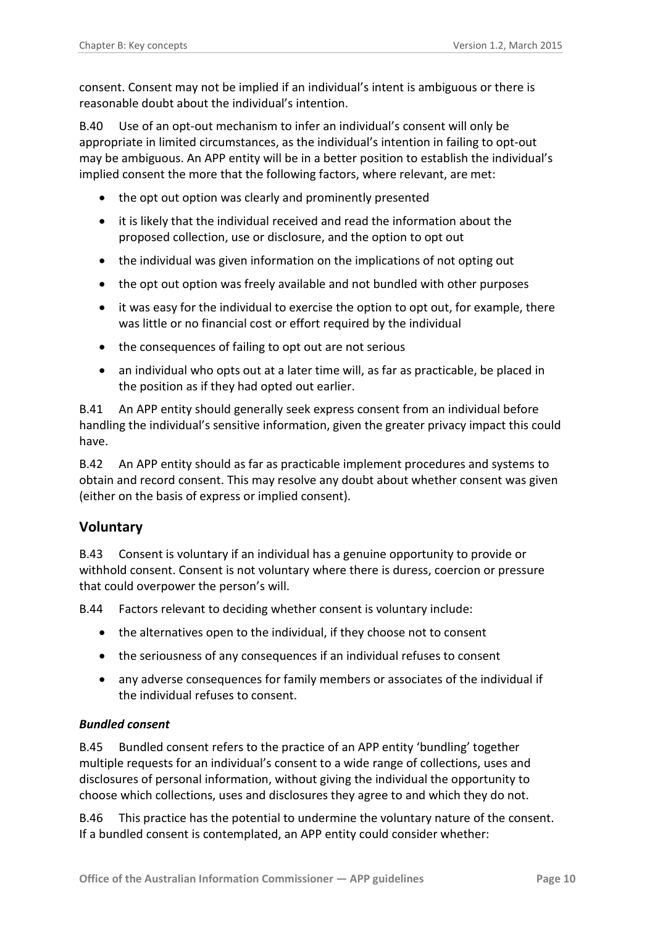consent. Consent may not be implied if an individual's intent is ambiguous or there is reasonable doubt about the individual's intention.

B.40 Use of an opt-out mechanism to infer an individual's consent will only be appropriate in limited circumstances, as the individual's intention in failing to opt-out may be ambiguous. An APP entity will be in a better position to establish the individual's implied consent the more that the following factors, where relevant, are met:

- the opt out option was clearly and prominently presented
- it is likely that the individual received and read the information about the proposed collection, use or disclosure, and the option to opt out
- the individual was given information on the implications of not opting out
- the opt out option was freely available and not bundled with other purposes
- it was easy for the individual to exercise the option to opt out, for example, there was little or no financial cost or effort required by the individual
- the consequences of failing to opt out are not serious
- an individual who opts out at a later time will, as far as practicable, be placed in the position as if they had opted out earlier.

B.41 An APP entity should generally seek express consent from an individual before handling the individual's sensitive information, given the greater privacy impact this could have.

B.42 An APP entity should as far as practicable implement procedures and systems to obtain and record consent. This may resolve any doubt about whether consent was given (either on the basis of express or implied consent).

#### <span id="page-9-0"></span>**Voluntary**

B.43 Consent is voluntary if an individual has a genuine opportunity to provide or withhold consent. Consent is not voluntary where there is duress, coercion or pressure that could overpower the person's will.

B.44 Factors relevant to deciding whether consent is voluntary include:

- the alternatives open to the individual, if they choose not to consent
- the seriousness of any consequences if an individual refuses to consent
- any adverse consequences for family members or associates of the individual if the individual refuses to consent.

#### <span id="page-9-1"></span>*Bundled consent*

B.45 Bundled consent refers to the practice of an APP entity 'bundling' together multiple requests for an individual's consent to a wide range of collections, uses and disclosures of personal information, without giving the individual the opportunity to choose which collections, uses and disclosures they agree to and which they do not.

B.46 This practice has the potential to undermine the voluntary nature of the consent. If a bundled consent is contemplated, an APP entity could consider whether: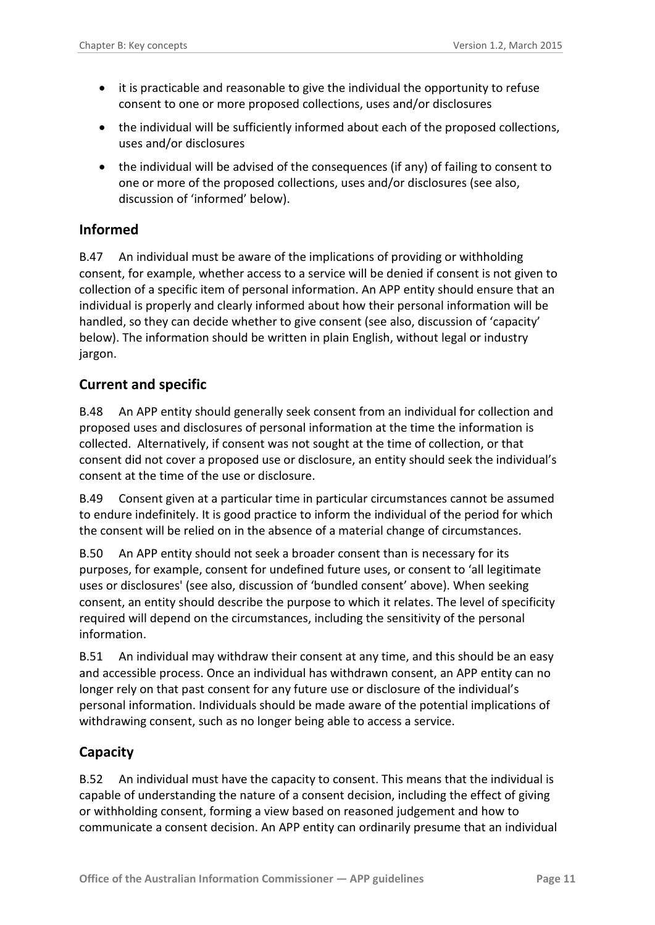- it is practicable and reasonable to give the individual the opportunity to refuse consent to one or more proposed collections, uses and/or disclosures
- the individual will be sufficiently informed about each of the proposed collections, uses and/or disclosures
- the individual will be advised of the consequences (if any) of failing to consent to one or more of the proposed collections, uses and/or disclosures (see also, discussion of 'informed' below).

#### <span id="page-10-0"></span>**Informed**

B.47 An individual must be aware of the implications of providing or withholding consent, for example, whether access to a service will be denied if consent is not given to collection of a specific item of personal information. An APP entity should ensure that an individual is properly and clearly informed about how their personal information will be handled, so they can decide whether to give consent (see also, discussion of 'capacity' below). The information should be written in plain English, without legal or industry jargon.

#### <span id="page-10-1"></span>**Current and specific**

B.48 An APP entity should generally seek consent from an individual for collection and proposed uses and disclosures of personal information at the time the information is collected. Alternatively, if consent was not sought at the time of collection, or that consent did not cover a proposed use or disclosure, an entity should seek the individual's consent at the time of the use or disclosure.

B.49 Consent given at a particular time in particular circumstances cannot be assumed to endure indefinitely. It is good practice to inform the individual of the period for which the consent will be relied on in the absence of a material change of circumstances.

B.50 An APP entity should not seek a broader consent than is necessary for its purposes, for example, consent for undefined future uses, or consent to 'all legitimate uses or disclosures' (see also, discussion of 'bundled consent' above). When seeking consent, an entity should describe the purpose to which it relates. The level of specificity required will depend on the circumstances, including the sensitivity of the personal information.

B.51 An individual may withdraw their consent at any time, and this should be an easy and accessible process. Once an individual has withdrawn consent, an APP entity can no longer rely on that past consent for any future use or disclosure of the individual's personal information. Individuals should be made aware of the potential implications of withdrawing consent, such as no longer being able to access a service.

#### <span id="page-10-2"></span>**Capacity**

B.52 An individual must have the capacity to consent. This means that the individual is capable of understanding the nature of a consent decision, including the effect of giving or withholding consent, forming a view based on reasoned judgement and how to communicate a consent decision. An APP entity can ordinarily presume that an individual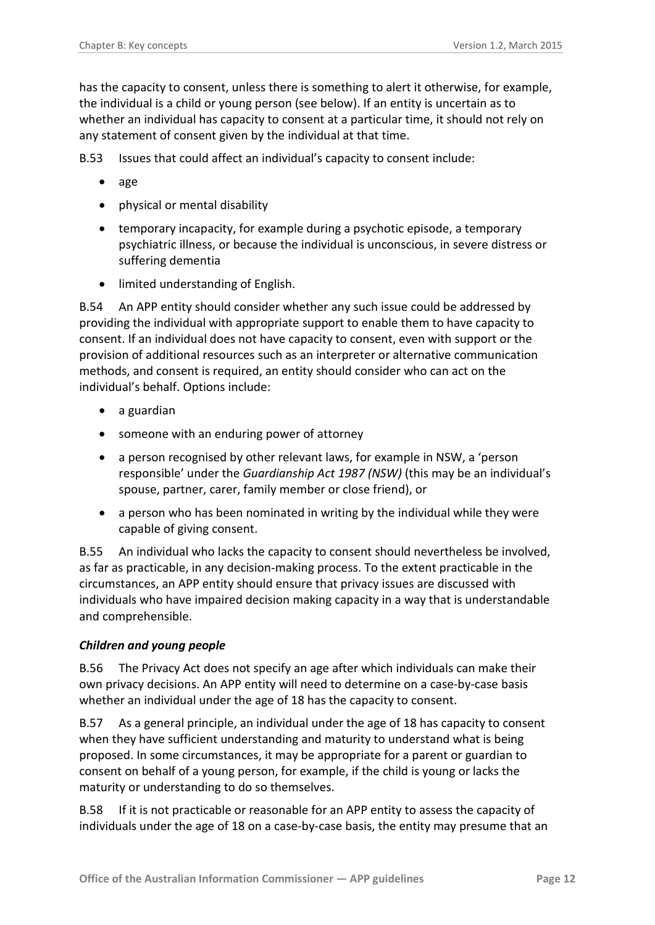has the capacity to consent, unless there is something to alert it otherwise, for example, the individual is a child or young person (see below). If an entity is uncertain as to whether an individual has capacity to consent at a particular time, it should not rely on any statement of consent given by the individual at that time.

B.53 Issues that could affect an individual's capacity to consent include:

- age
- physical or mental disability
- temporary incapacity, for example during a psychotic episode, a temporary psychiatric illness, or because the individual is unconscious, in severe distress or suffering dementia
- limited understanding of English.

B.54 An APP entity should consider whether any such issue could be addressed by providing the individual with appropriate support to enable them to have capacity to consent. If an individual does not have capacity to consent, even with support or the provision of additional resources such as an interpreter or alternative communication methods, and consent is required, an entity should consider who can act on the individual's behalf. Options include:

- a guardian
- someone with an enduring power of attorney
- a person recognised by other relevant laws, for example in NSW, a 'person responsible' under the *Guardianship Act 1987 (NSW)* (this may be an individual's spouse, partner, carer, family member or close friend), or
- a person who has been nominated in writing by the individual while they were capable of giving consent.

B.55 An individual who lacks the capacity to consent should nevertheless be involved, as far as practicable, in any decision-making process. To the extent practicable in the circumstances, an APP entity should ensure that privacy issues are discussed with individuals who have impaired decision making capacity in a way that is understandable and comprehensible.

#### <span id="page-11-0"></span>*Children and young people*

B.56 The Privacy Act does not specify an age after which individuals can make their own privacy decisions. An APP entity will need to determine on a case-by-case basis whether an individual under the age of 18 has the capacity to consent.

B.57 As a general principle, an individual under the age of 18 has capacity to consent when they have sufficient understanding and maturity to understand what is being proposed. In some circumstances, it may be appropriate for a parent or guardian to consent on behalf of a young person, for example, if the child is young or lacks the maturity or understanding to do so themselves.

B.58 If it is not practicable or reasonable for an APP entity to assess the capacity of individuals under the age of 18 on a case-by-case basis, the entity may presume that an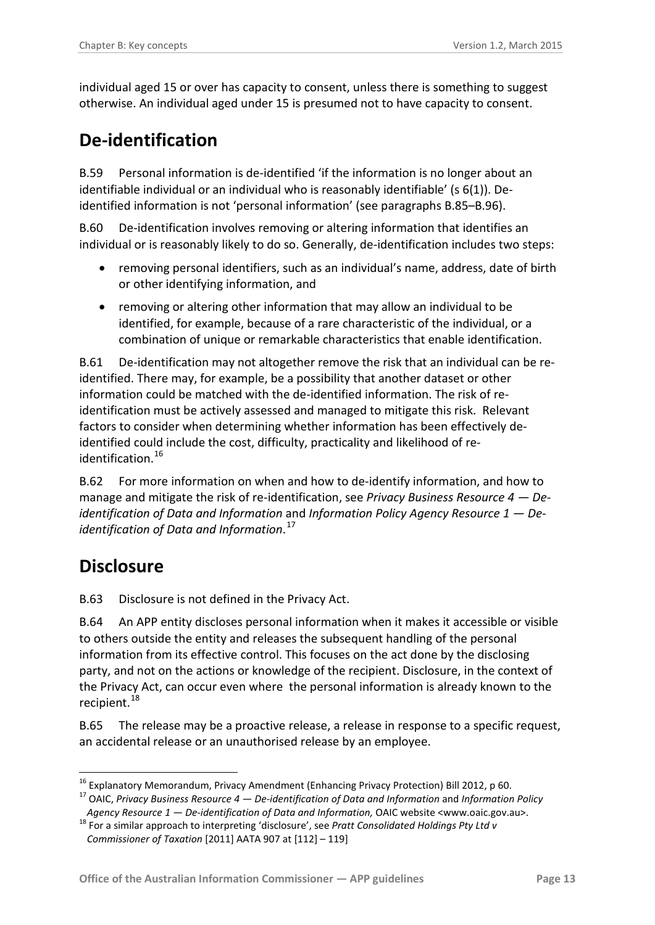individual aged 15 or over has capacity to consent, unless there is something to suggest otherwise. An individual aged under 15 is presumed not to have capacity to consent.

### <span id="page-12-0"></span>**De-identification**

<span id="page-12-5"></span>B.59 Personal information is de-identified 'if the information is no longer about an identifiable individual or an individual who is reasonably identifiable' (s 6(1)). Deidentified information is not 'personal information' (see paragraphs [B.85](#page-18-2)[–B.96\)](#page-20-3).

B.60 De-identification involves removing or altering information that identifies an individual or is reasonably likely to do so. Generally, de-identification includes two steps:

- removing personal identifiers, such as an individual's name, address, date of birth or other identifying information, and
- removing or altering other information that may allow an individual to be identified, for example, because of a rare characteristic of the individual, or a combination of unique or remarkable characteristics that enable identification.

B.61 De-identification may not altogether remove the risk that an individual can be reidentified. There may, for example, be a possibility that another dataset or other information could be matched with the de-identified information. The risk of reidentification must be actively assessed and managed to mitigate this risk. Relevant factors to consider when determining whether information has been effectively deidentified could include the cost, difficulty, practicality and likelihood of re-identification.<sup>[16](#page-12-2)</sup>

B.62 For more information on when and how to de-identify information, and how to manage and mitigate the risk of re-identification, see *Privacy Business Resource 4 — Deidentification of Data and Information* and *Information Policy Agency Resource 1 — Deidentification of Data and Information*. [17](#page-12-3)

### <span id="page-12-1"></span>**Disclosure**

<span id="page-12-6"></span>B.63 Disclosure is not defined in the Privacy Act.

B.64 An APP entity discloses personal information when it makes it accessible or visible to others outside the entity and releases the subsequent handling of the personal information from its effective control. This focuses on the act done by the disclosing party, and not on the actions or knowledge of the recipient. Disclosure, in the context of the Privacy Act, can occur even where the personal information is already known to the recipient.<sup>[18](#page-12-4)</sup>

B.65 The release may be a proactive release, a release in response to a specific request, an accidental release or an unauthorised release by an employee.

<span id="page-12-2"></span><sup>&</sup>lt;sup>16</sup> Explanatory Memorandum, Privacy Amendment (Enhancing Privacy Protection) Bill 2012, p 60.<br><sup>17</sup> OAIC, *Privacy Business Resource 4 — De-identification of Data and Information and <i>Information Policy* -

<span id="page-12-4"></span><span id="page-12-3"></span>*Agency Resource 1 — De-identification of Data and Information,* OAIC website <www.oaic.gov.au>. <sup>18</sup> For a similar approach to interpreting 'disclosure', see *Pratt Consolidated Holdings Pty Ltd v* 

*Commissioner of Taxation* [2011] AATA 907 at [112] – 119]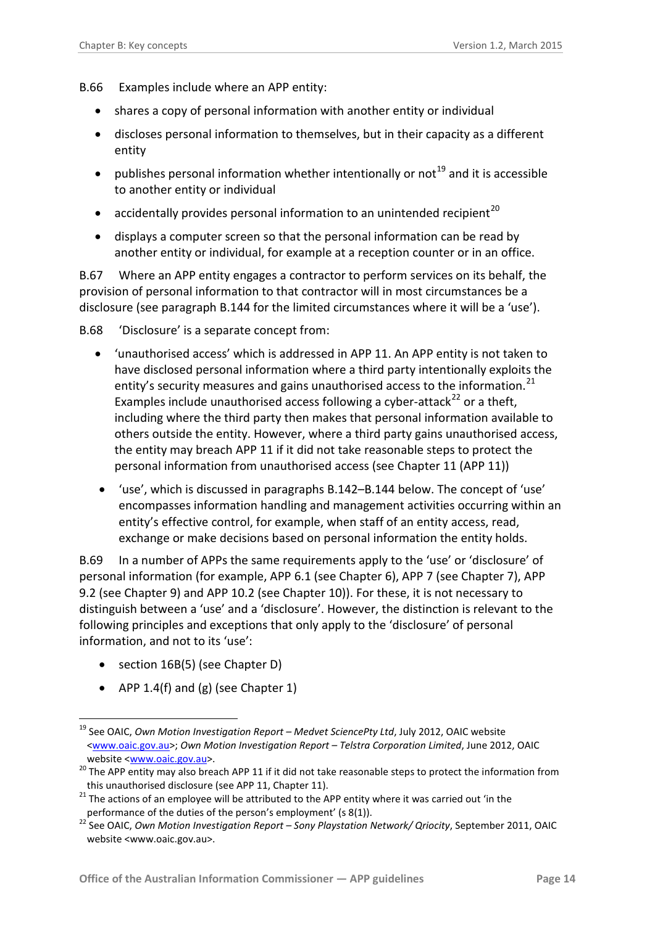- B.66 Examples include where an APP entity:
	- shares a copy of personal information with another entity or individual
	- discloses personal information to themselves, but in their capacity as a different entity
	- publishes personal information whether intentionally or not<sup>[19](#page-13-0)</sup> and it is accessible to another entity or individual
	- accidentally provides personal information to an unintended recipient<sup>[20](#page-13-1)</sup>
	- displays a computer screen so that the personal information can be read by another entity or individual, for example at a reception counter or in an office.

B.67 Where an APP entity engages a contractor to perform services on its behalf, the provision of personal information to that contractor will in most circumstances be a disclosure (see paragraph [B.144](#page-28-0) for the limited circumstances where it will be a 'use').

<span id="page-13-4"></span>B.68 'Disclosure' is a separate concept from:

- 'unauthorised access' which is addressed in APP 11. An APP entity is not taken to have disclosed personal information where a third party intentionally exploits the entity's security measures and gains unauthorised access to the information. $^{21}$  $^{21}$  $^{21}$ Examples include unauthorised access following a cyber-attack<sup>[22](#page-13-3)</sup> or a theft, including where the third party then makes that personal information available to others outside the entity. However, where a third party gains unauthorised access, the entity may breach APP 11 if it did not take reasonable steps to protect the personal information from unauthorised access (see Chapter 11 (APP 11))
- 'use', which is discussed in paragraphs [B.142](#page-27-1)[–B.144](#page-28-0) below. The concept of 'use' encompasses information handling and management activities occurring within an entity's effective control, for example, when staff of an entity access, read, exchange or make decisions based on personal information the entity holds.

<span id="page-13-5"></span>B.69 In a number of APPs the same requirements apply to the 'use' or 'disclosure' of personal information (for example, APP 6.1 (see Chapter 6), APP 7 (see Chapter 7), APP 9.2 (see Chapter 9) and APP 10.2 (see Chapter 10)). For these, it is not necessary to distinguish between a 'use' and a 'disclosure'. However, the distinction is relevant to the following principles and exceptions that only apply to the 'disclosure' of personal information, and not to its 'use':

• section 16B(5) (see Chapter D)

1

• APP 1.4(f) and (g) (see Chapter 1)

<span id="page-13-0"></span><sup>19</sup> See OAIC, *Own Motion Investigation Report – Medvet SciencePty Ltd*, July 2012, OAIC website [<www.oaic.gov.au>](http://www.oaic.gov.au/); *Own Motion Investigation Report – Telstra Corporation Limited*, June 2012, OAIC

<span id="page-13-1"></span>website <<u>www.oaic.gov.au</u>>.<br><sup>20</sup> The APP entity may also breach APP 11 if it did not take reasonable steps to protect the information from this unauthorised disclosure (see APP 11, Chapter 11).<br><sup>21</sup> The actions of an employee will be attributed to the APP entity where it was carried out 'in the

<span id="page-13-3"></span><span id="page-13-2"></span>performance of the duties of the person's employment' (s 8(1)). <sup>22</sup> See OAIC, *Own Motion Investigation Report – Sony Playstation Network/ Qriocity*, September 2011, OAIC website <www.oaic.gov.au>.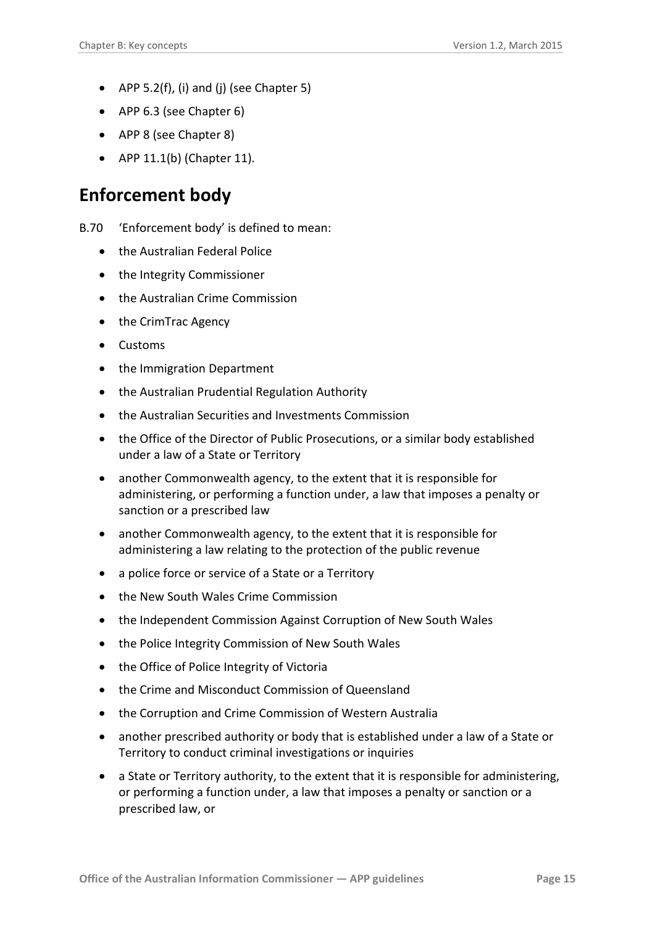- APP 5.2(f), (i) and (j) (see Chapter 5)
- APP 6.3 (see Chapter 6)
- APP 8 (see Chapter 8)
- APP  $11.1(b)$  (Chapter 11).

#### <span id="page-14-0"></span>**Enforcement body**

- <span id="page-14-1"></span>B.70 'Enforcement body' is defined to mean:
	- the Australian Federal Police
	- the Integrity Commissioner
	- the Australian Crime Commission
	- the CrimTrac Agency
	- Customs
	- the Immigration Department
	- the Australian Prudential Regulation Authority
	- the Australian Securities and Investments Commission
	- the Office of the Director of Public Prosecutions, or a similar body established under a law of a State or Territory
	- another Commonwealth agency, to the extent that it is responsible for administering, or performing a function under, a law that imposes a penalty or sanction or a prescribed law
	- another Commonwealth agency, to the extent that it is responsible for administering a law relating to the protection of the public revenue
	- a police force or service of a State or a Territory
	- the New South Wales Crime Commission
	- the Independent Commission Against Corruption of New South Wales
	- the Police Integrity Commission of New South Wales
	- the Office of Police Integrity of Victoria
	- the Crime and Misconduct Commission of Queensland
	- the Corruption and Crime Commission of Western Australia
	- another prescribed authority or body that is established under a law of a State or Territory to conduct criminal investigations or inquiries
	- a State or Territory authority, to the extent that it is responsible for administering, or performing a function under, a law that imposes a penalty or sanction or a prescribed law, or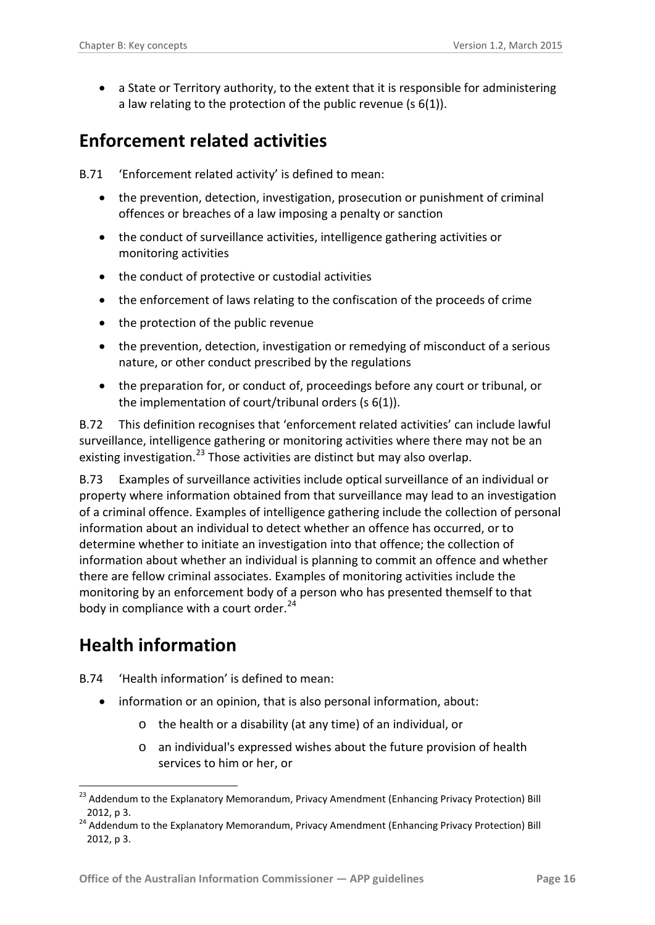• a State or Territory authority, to the extent that it is responsible for administering a law relating to the protection of the public revenue (s 6(1)).

### <span id="page-15-0"></span>**Enforcement related activities**

B.71 'Enforcement related activity' is defined to mean:

- the prevention, detection, investigation, prosecution or punishment of criminal offences or breaches of a law imposing a penalty or sanction
- the conduct of surveillance activities, intelligence gathering activities or monitoring activities
- the conduct of protective or custodial activities
- the enforcement of laws relating to the confiscation of the proceeds of crime
- the protection of the public revenue
- the prevention, detection, investigation or remedying of misconduct of a serious nature, or other conduct prescribed by the regulations
- the preparation for, or conduct of, proceedings before any court or tribunal, or the implementation of court/tribunal orders (s 6(1)).

B.72 This definition recognises that 'enforcement related activities' can include lawful surveillance, intelligence gathering or monitoring activities where there may not be an existing investigation.<sup>[23](#page-15-2)</sup> Those activities are distinct but may also overlap.

B.73 Examples of surveillance activities include optical surveillance of an individual or property where information obtained from that surveillance may lead to an investigation of a criminal offence. Examples of intelligence gathering include the collection of personal information about an individual to detect whether an offence has occurred, or to determine whether to initiate an investigation into that offence; the collection of information about whether an individual is planning to commit an offence and whether there are fellow criminal associates. Examples of monitoring activities include the monitoring by an enforcement body of a person who has presented themself to that body in compliance with a court order. $24$ 

# <span id="page-15-1"></span>**Health information**

<span id="page-15-4"></span>B.74 'Health information' is defined to mean:

- information or an opinion, that is also personal information, about:
	- o the health or a disability (at any time) of an individual, or
	- o an individual's expressed wishes about the future provision of health services to him or her, or

<span id="page-15-2"></span><sup>&</sup>lt;sup>23</sup> Addendum to the Explanatory Memorandum, Privacy Amendment (Enhancing Privacy Protection) Bill 2012, p 3. 1

<span id="page-15-3"></span><sup>24</sup> Addendum to the Explanatory Memorandum, Privacy Amendment (Enhancing Privacy Protection) Bill 2012, p 3.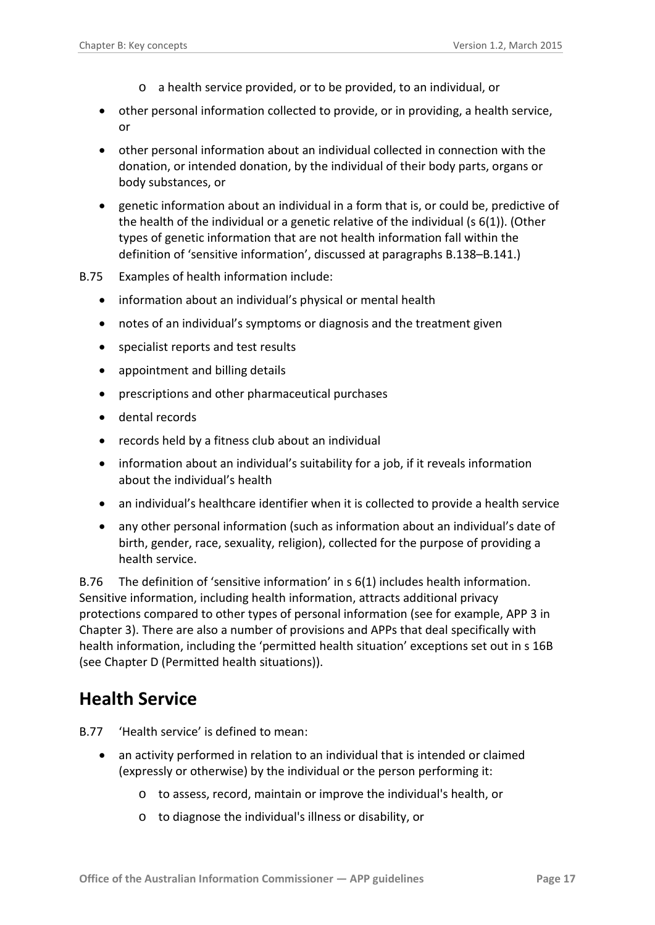- o a health service provided, or to be provided, to an individual, or
- other personal information collected to provide, or in providing, a health service, or
- other personal information about an individual collected in connection with the donation, or intended donation, by the individual of their body parts, organs or body substances, or
- genetic information about an individual in a form that is, or could be, predictive of the health of the individual or a genetic relative of the individual  $(s(6(1))$ . (Other types of genetic information that are not health information fall within the definition of 'sensitive information', discussed at paragraphs [B.138–](#page-26-3)[B.141.](#page-27-2))
- B.75 Examples of health information include:
	- information about an individual's physical or mental health
	- notes of an individual's symptoms or diagnosis and the treatment given
	- specialist reports and test results
	- appointment and billing details
	- prescriptions and other pharmaceutical purchases
	- dental records
	- records held by a fitness club about an individual
	- information about an individual's suitability for a job, if it reveals information about the individual's health
	- an individual's healthcare identifier when it is collected to provide a health service
	- any other personal information (such as information about an individual's date of birth, gender, race, sexuality, religion), collected for the purpose of providing a health service.

B.76 The definition of 'sensitive information' in s 6(1) includes health information. Sensitive information, including health information, attracts additional privacy protections compared to other types of personal information (see for example, APP 3 in Chapter 3). There are also a number of provisions and APPs that deal specifically with health information, including the 'permitted health situation' exceptions set out in s 16B (see Chapter D (Permitted health situations)).

### <span id="page-16-0"></span>**Health Service**

- B.77 'Health service' is defined to mean:
	- an activity performed in relation to an individual that is intended or claimed (expressly or otherwise) by the individual or the person performing it:
		- o to assess, record, maintain or improve the individual's health, or
		- o to diagnose the individual's illness or disability, or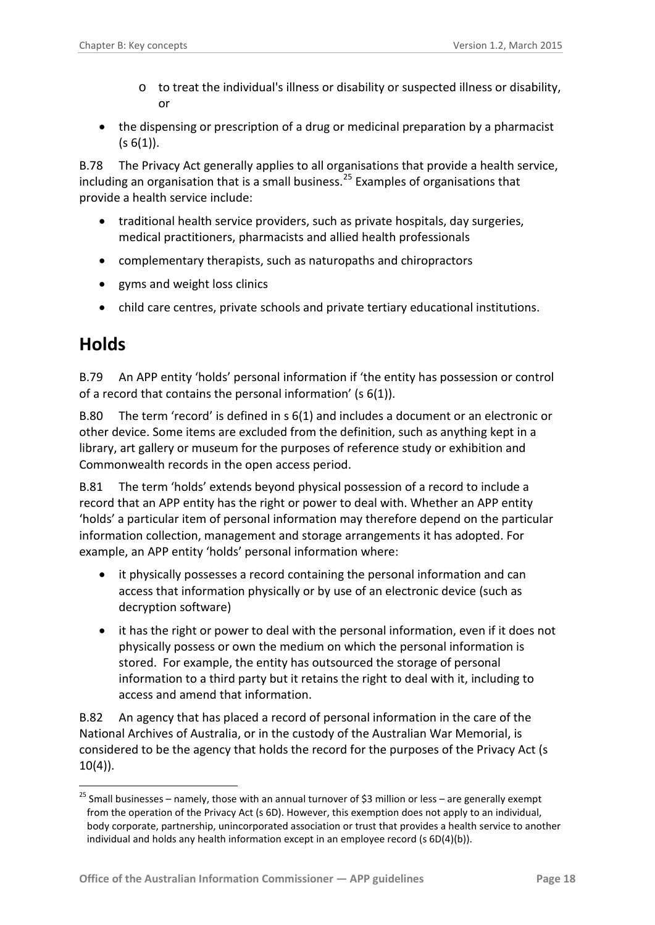- o to treat the individual's illness or disability or suspected illness or disability, or
- the dispensing or prescription of a drug or medicinal preparation by a pharmacist  $(s 6(1))$ .

<span id="page-17-2"></span>B.78 The Privacy Act generally applies to all organisations that provide a health service, including an organisation that is a small business.<sup>[25](#page-17-1)</sup> Examples of organisations that provide a health service include:

- traditional health service providers, such as private hospitals, day surgeries, medical practitioners, pharmacists and allied health professionals
- complementary therapists, such as naturopaths and chiropractors
- gyms and weight loss clinics
- child care centres, private schools and private tertiary educational institutions.

### <span id="page-17-0"></span>**Holds**

1

B.79 An APP entity 'holds' personal information if 'the entity has possession or control of a record that contains the personal information' (s 6(1)).

B.80 The term 'record' is defined in s 6(1) and includes a document or an electronic or other device. Some items are excluded from the definition, such as anything kept in a library, art gallery or museum for the purposes of reference study or exhibition and Commonwealth records in the open access period.

B.81 The term 'holds' extends beyond physical possession of a record to include a record that an APP entity has the right or power to deal with. Whether an APP entity 'holds' a particular item of personal information may therefore depend on the particular information collection, management and storage arrangements it has adopted. For example, an APP entity 'holds' personal information where:

- it physically possesses a record containing the personal information and can access that information physically or by use of an electronic device (such as decryption software)
- it has the right or power to deal with the personal information, even if it does not physically possess or own the medium on which the personal information is stored. For example, the entity has outsourced the storage of personal information to a third party but it retains the right to deal with it, including to access and amend that information.

B.82 An agency that has placed a record of personal information in the care of the National Archives of Australia, or in the custody of the Australian War Memorial, is considered to be the agency that holds the record for the purposes of the Privacy Act (s  $10(4)$ ).

<span id="page-17-1"></span> $25$  Small businesses – namely, those with an annual turnover of \$3 million or less – are generally exempt from the operation of the Privacy Act (s 6D). However, this exemption does not apply to an individual, body corporate, partnership, unincorporated association or trust that provides a health service to another individual and holds any health information except in an employee record (s 6D(4)(b)).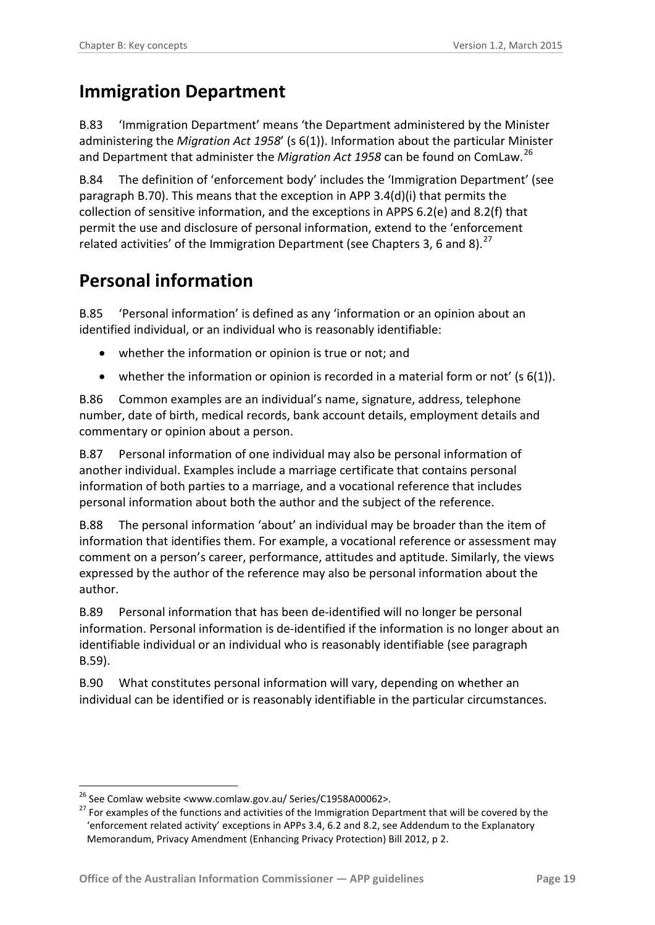### <span id="page-18-0"></span>**Immigration Department**

B.83 'Immigration Department' means 'the Department administered by the Minister administering the *Migration Act 1958*' (s 6(1)). Information about the particular Minister and Department that administer the *Migration Act 1958* can be found on ComLaw.[26](#page-18-3)

B.84 The definition of 'enforcement body' includes the 'Immigration Department' (see paragraph [B.70\)](#page-14-1). This means that the exception in APP 3.4(d)(i) that permits the collection of sensitive information, and the exceptions in APPS 6.2(e) and 8.2(f) that permit the use and disclosure of personal information, extend to the 'enforcement related activities' of the Immigration Department (see Chapters 3, 6 and 8).<sup>[27](#page-18-4)</sup>

### <span id="page-18-1"></span>**Personal information**

<span id="page-18-2"></span>B.85 'Personal information' is defined as any 'information or an opinion about an identified individual, or an individual who is reasonably identifiable:

- whether the information or opinion is true or not; and
- whether the information or opinion is recorded in a material form or not' (s 6(1)).

B.86 Common examples are an individual's name, signature, address, telephone number, date of birth, medical records, bank account details, employment details and commentary or opinion about a person.

B.87 Personal information of one individual may also be personal information of another individual. Examples include a marriage certificate that contains personal information of both parties to a marriage, and a vocational reference that includes personal information about both the author and the subject of the reference.

B.88 The personal information 'about' an individual may be broader than the item of information that identifies them. For example, a vocational reference or assessment may comment on a person's career, performance, attitudes and aptitude. Similarly, the views expressed by the author of the reference may also be personal information about the author.

B.89 Personal information that has been de-identified will no longer be personal information. Personal information is de-identified if the information is no longer about an identifiable individual or an individual who is reasonably identifiable (see paragraph [B.59\)](#page-12-5).

B.90 What constitutes personal information will vary, depending on whether an individual can be identified or is reasonably identifiable in the particular circumstances.

<sup>1</sup> 

<span id="page-18-4"></span><span id="page-18-3"></span><sup>&</sup>lt;sup>26</sup> See Comlaw website <www.comlaw.gov.au/ Series/C1958A00062>.<br><sup>27</sup> For examples of the functions and activities of the Immigration Department that will be covered by the 'enforcement related activity' exceptions in APPs 3.4, 6.2 and 8.2, see Addendum to the Explanatory Memorandum, Privacy Amendment (Enhancing Privacy Protection) Bill 2012, p 2.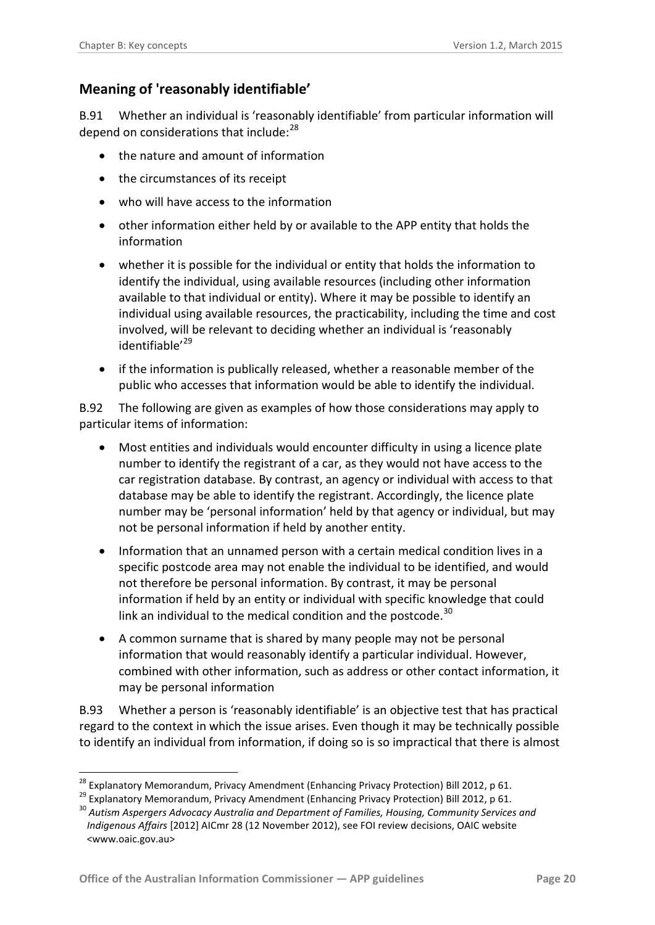#### <span id="page-19-0"></span>**Meaning of 'reasonably identifiable'**

B.91 Whether an individual is 'reasonably identifiable' from particular information will depend on considerations that include:<sup>[28](#page-19-1)</sup>

- the nature and amount of information
- the circumstances of its receipt
- who will have access to the information
- other information either held by or available to the APP entity that holds the information
- whether it is possible for the individual or entity that holds the information to identify the individual, using available resources (including other information available to that individual or entity). Where it may be possible to identify an individual using available resources, the practicability, including the time and cost involved, will be relevant to deciding whether an individual is 'reasonably identifiable<sup>'[29](#page-19-2)</sup>
- if the information is publically released, whether a reasonable member of the public who accesses that information would be able to identify the individual.

B.92 The following are given as examples of how those considerations may apply to particular items of information:

- Most entities and individuals would encounter difficulty in using a licence plate number to identify the registrant of a car, as they would not have access to the car registration database. By contrast, an agency or individual with access to that database may be able to identify the registrant. Accordingly, the licence plate number may be 'personal information' held by that agency or individual, but may not be personal information if held by another entity.
- Information that an unnamed person with a certain medical condition lives in a specific postcode area may not enable the individual to be identified, and would not therefore be personal information. By contrast, it may be personal information if held by an entity or individual with specific knowledge that could link an individual to the medical condition and the postcode. $30$
- A common surname that is shared by many people may not be personal information that would reasonably identify a particular individual. However, combined with other information, such as address or other contact information, it may be personal information

B.93 Whether a person is 'reasonably identifiable' is an objective test that has practical regard to the context in which the issue arises. Even though it may be technically possible to identify an individual from information, if doing so is so impractical that there is almost

-

<span id="page-19-1"></span>

<span id="page-19-3"></span><span id="page-19-2"></span>

<sup>&</sup>lt;sup>28</sup> Explanatory Memorandum, Privacy Amendment (Enhancing Privacy Protection) Bill 2012, p 61.<br><sup>29</sup> Explanatory Memorandum, Privacy Amendment (Enhancing Privacy Protection) Bill 2012, p 61.<br><sup>30</sup> Autism Aspergers Advocacy A *Indigenous Affairs* [2012] AICmr 28 (12 November 2012), see FOI review decisions, OAIC website <www.oaic.gov.au>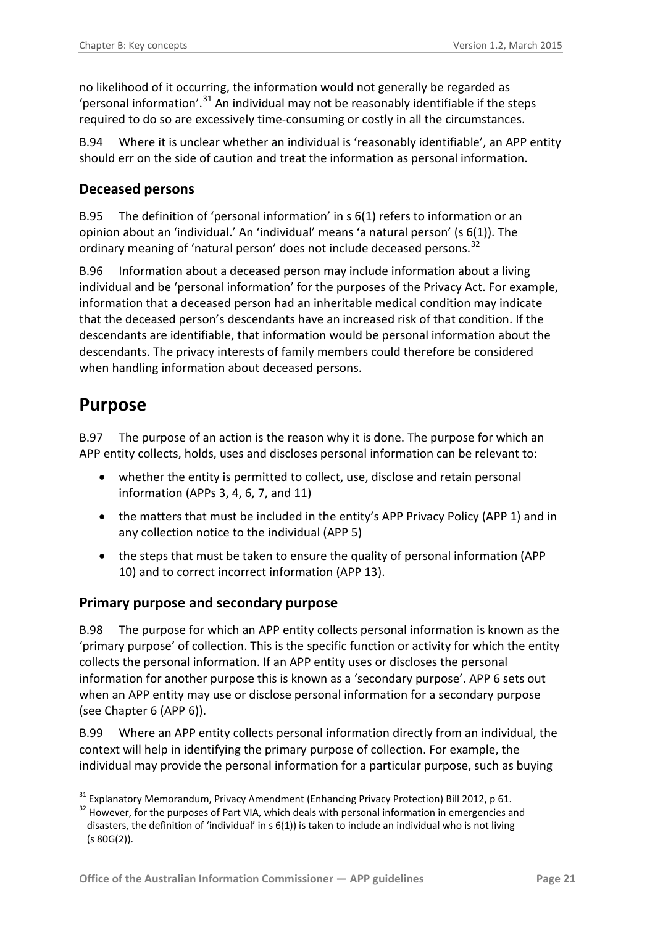no likelihood of it occurring, the information would not generally be regarded as 'personal information'.<sup>[31](#page-20-4)</sup> An individual may not be reasonably identifiable if the steps required to do so are excessively time-consuming or costly in all the circumstances.

B.94 Where it is unclear whether an individual is 'reasonably identifiable', an APP entity should err on the side of caution and treat the information as personal information.

#### <span id="page-20-0"></span>**Deceased persons**

B.95 The definition of 'personal information' in s 6(1) refers to information or an opinion about an 'individual.' An 'individual' means 'a natural person' (s 6(1)). The ordinary meaning of 'natural person' does not include deceased persons.<sup>[32](#page-20-5)</sup>

<span id="page-20-3"></span>B.96 Information about a deceased person may include information about a living individual and be 'personal information' for the purposes of the Privacy Act. For example, information that a deceased person had an inheritable medical condition may indicate that the deceased person's descendants have an increased risk of that condition. If the descendants are identifiable, that information would be personal information about the descendants. The privacy interests of family members could therefore be considered when handling information about deceased persons.

#### <span id="page-20-1"></span>**Purpose**

B.97 The purpose of an action is the reason why it is done. The purpose for which an APP entity collects, holds, uses and discloses personal information can be relevant to:

- whether the entity is permitted to collect, use, disclose and retain personal information (APPs 3, 4, 6, 7, and 11)
- the matters that must be included in the entity's APP Privacy Policy (APP 1) and in any collection notice to the individual (APP 5)
- the steps that must be taken to ensure the quality of personal information (APP 10) and to correct incorrect information (APP 13).

#### <span id="page-20-2"></span>**Primary purpose and secondary purpose**

B.98 The purpose for which an APP entity collects personal information is known as the 'primary purpose' of collection. This is the specific function or activity for which the entity collects the personal information. If an APP entity uses or discloses the personal information for another purpose this is known as a 'secondary purpose'. APP 6 sets out when an APP entity may use or disclose personal information for a secondary purpose (see Chapter 6 (APP 6)).

B.99 Where an APP entity collects personal information directly from an individual, the context will help in identifying the primary purpose of collection. For example, the individual may provide the personal information for a particular purpose, such as buying

<sup>1</sup> 

<span id="page-20-5"></span><span id="page-20-4"></span><sup>&</sup>lt;sup>31</sup> Explanatory Memorandum, Privacy Amendment (Enhancing Privacy Protection) Bill 2012, p 61.<br><sup>32</sup> However, for the purposes of Part VIA, which deals with personal information in emergencies and disasters, the definition of 'individual' in  $s(1)$  is taken to include an individual who is not living (s 80G(2)).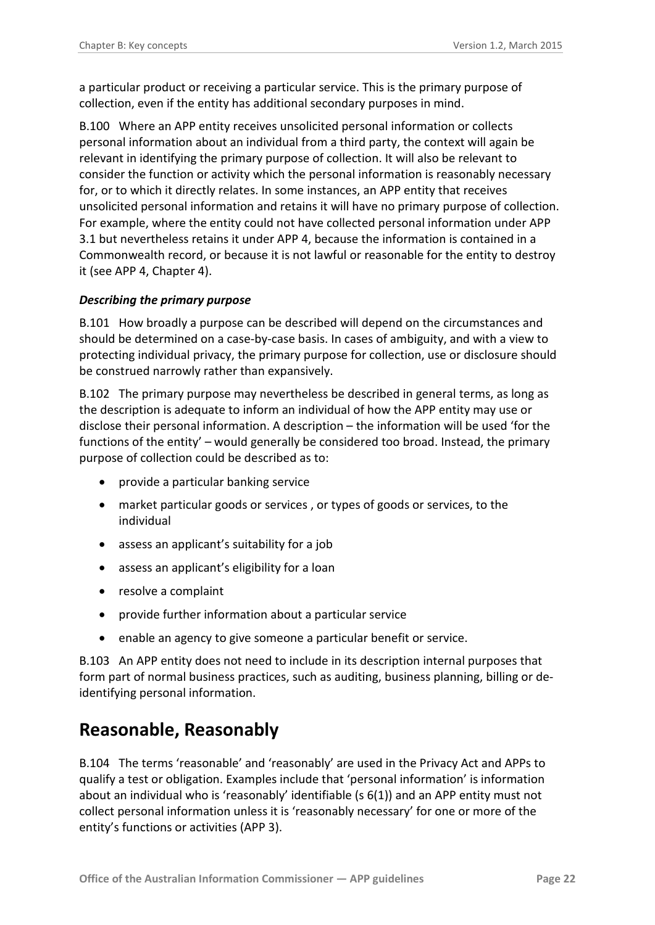a particular product or receiving a particular service. This is the primary purpose of collection, even if the entity has additional secondary purposes in mind.

B.100 Where an APP entity receives unsolicited personal information or collects personal information about an individual from a third party, the context will again be relevant in identifying the primary purpose of collection. It will also be relevant to consider the function or activity which the personal information is reasonably necessary for, or to which it directly relates. In some instances, an APP entity that receives unsolicited personal information and retains it will have no primary purpose of collection. For example, where the entity could not have collected personal information under APP 3.1 but nevertheless retains it under APP 4, because the information is contained in a Commonwealth record, or because it is not lawful or reasonable for the entity to destroy it (see APP 4, Chapter 4).

#### <span id="page-21-0"></span>*Describing the primary purpose*

B.101 How broadly a purpose can be described will depend on the circumstances and should be determined on a case-by-case basis. In cases of ambiguity, and with a view to protecting individual privacy, the primary purpose for collection, use or disclosure should be construed narrowly rather than expansively.

B.102 The primary purpose may nevertheless be described in general terms, as long as the description is adequate to inform an individual of how the APP entity may use or disclose their personal information. A description – the information will be used 'for the functions of the entity' – would generally be considered too broad. Instead, the primary purpose of collection could be described as to:

- provide a particular banking service
- market particular goods or services , or types of goods or services, to the individual
- assess an applicant's suitability for a job
- assess an applicant's eligibility for a loan
- resolve a complaint
- provide further information about a particular service
- enable an agency to give someone a particular benefit or service.

B.103 An APP entity does not need to include in its description internal purposes that form part of normal business practices, such as auditing, business planning, billing or deidentifying personal information.

### <span id="page-21-1"></span>**Reasonable, Reasonably**

<span id="page-21-2"></span>B.104 The terms 'reasonable' and 'reasonably' are used in the Privacy Act and APPs to qualify a test or obligation. Examples include that 'personal information' is information about an individual who is 'reasonably' identifiable ( $s$  6(1)) and an APP entity must not collect personal information unless it is 'reasonably necessary' for one or more of the entity's functions or activities (APP 3).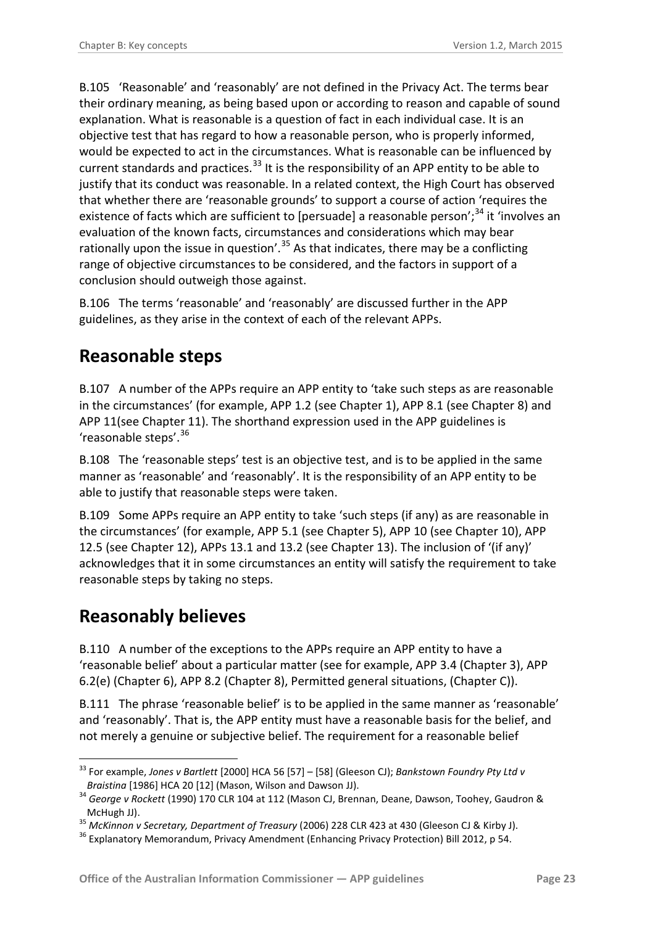B.105 'Reasonable' and 'reasonably' are not defined in the Privacy Act. The terms bear their ordinary meaning, as being based upon or according to reason and capable of sound explanation. What is reasonable is a question of fact in each individual case. It is an objective test that has regard to how a reasonable person, who is properly informed, would be expected to act in the circumstances. What is reasonable can be influenced by current standards and practices.<sup>[33](#page-22-2)</sup> It is the responsibility of an APP entity to be able to justify that its conduct was reasonable. In a related context, the High Court has observed that whether there are 'reasonable grounds' to support a course of action 'requires the existence of facts which are sufficient to [persuade] a reasonable person';<sup>[34](#page-22-3)</sup> it 'involves an evaluation of the known facts, circumstances and considerations which may bear rationally upon the issue in question'.<sup>[35](#page-22-4)</sup> As that indicates, there may be a conflicting range of objective circumstances to be considered, and the factors in support of a conclusion should outweigh those against.

<span id="page-22-6"></span>B.106 The terms 'reasonable' and 'reasonably' are discussed further in the APP guidelines, as they arise in the context of each of the relevant APPs.

### <span id="page-22-0"></span>**Reasonable steps**

B.107 A number of the APPs require an APP entity to 'take such steps as are reasonable in the circumstances' (for example, APP 1.2 (see Chapter 1), APP 8.1 (see Chapter 8) and APP 11(see Chapter 11). The shorthand expression used in the APP guidelines is 'reasonable steps'.[36](#page-22-5)

B.108 The 'reasonable steps' test is an objective test, and is to be applied in the same manner as 'reasonable' and 'reasonably'. It is the responsibility of an APP entity to be able to justify that reasonable steps were taken.

B.109 Some APPs require an APP entity to take 'such steps (if any) as are reasonable in the circumstances' (for example, APP 5.1 (see Chapter 5), APP 10 (see Chapter 10), APP 12.5 (see Chapter 12), APPs 13.1 and 13.2 (see Chapter 13). The inclusion of '(if any)' acknowledges that it in some circumstances an entity will satisfy the requirement to take reasonable steps by taking no steps.

### <span id="page-22-1"></span>**Reasonably believes**

-

B.110 A number of the exceptions to the APPs require an APP entity to have a 'reasonable belief' about a particular matter (see for example, APP 3.4 (Chapter 3), APP 6.2(e) (Chapter 6), APP 8.2 (Chapter 8), Permitted general situations, (Chapter C)).

B.111 The phrase 'reasonable belief' is to be applied in the same manner as 'reasonable' and 'reasonably'. That is, the APP entity must have a reasonable basis for the belief, and not merely a genuine or subjective belief. The requirement for a reasonable belief

<span id="page-22-2"></span><sup>33</sup> For example, *Jones v Bartlett* [2000] HCA 56 [57] – [58] (Gleeson CJ); *Bankstown Foundry Pty Ltd v* 

<span id="page-22-3"></span>*Braistina* [1986] HCA 20 [12] (Mason, Wilson and Dawson JJ).<br><sup>34</sup> *George v Rockett* (1990) 170 CLR 104 at 112 (Mason CJ, Brennan, Deane, Dawson, Toohey, Gaudron & McHugh JJ).

<span id="page-22-4"></span><sup>&</sup>lt;sup>35</sup> *McKinnon v Secretary, Department of Treasury* (2006) 228 CLR 423 at 430 (Gleeson CJ & Kirby J).<br><sup>36</sup> Explanatory Memorandum, Privacy Amendment (Enhancing Privacy Protection) Bill 2012, p 54.

<span id="page-22-5"></span>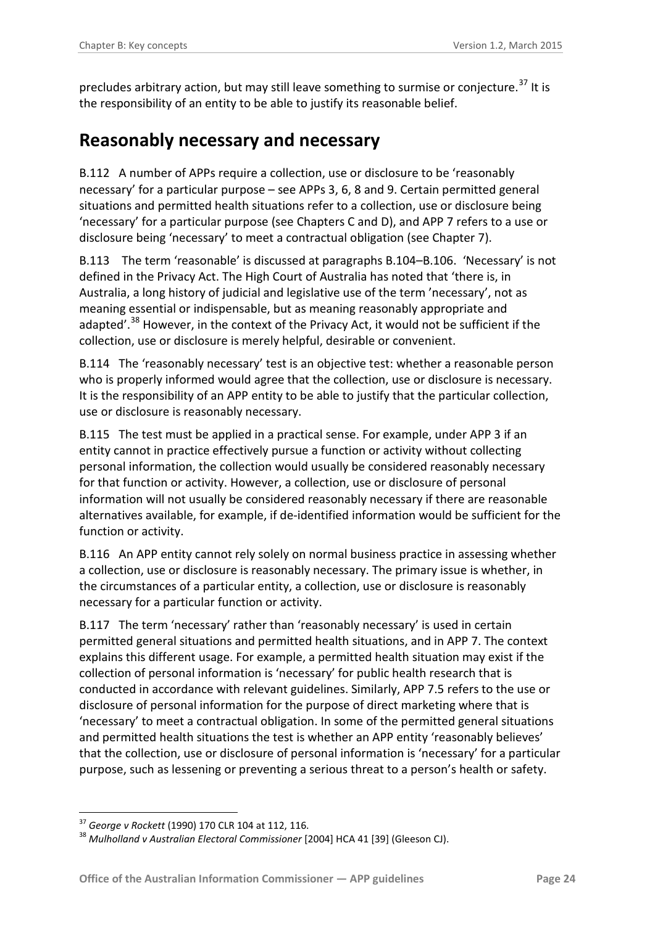precludes arbitrary action, but may still leave something to surmise or conjecture.<sup>[37](#page-23-1)</sup> It is the responsibility of an entity to be able to justify its reasonable belief.

### <span id="page-23-0"></span>**Reasonably necessary and necessary**

B.112 A number of APPs require a collection, use or disclosure to be 'reasonably necessary' for a particular purpose – see APPs 3, 6, 8 and 9. Certain permitted general situations and permitted health situations refer to a collection, use or disclosure being 'necessary' for a particular purpose (see Chapters C and D), and APP 7 refers to a use or disclosure being 'necessary' to meet a contractual obligation (see Chapter 7).

B.113 The term 'reasonable' is discussed at paragraphs [B.104–](#page-21-2)[B.106.](#page-22-6) 'Necessary' is not defined in the Privacy Act. The High Court of Australia has noted that 'there is, in Australia, a long history of judicial and legislative use of the term 'necessary', not as meaning essential or indispensable, but as meaning reasonably appropriate and adapted'.<sup>[38](#page-23-2)</sup> However, in the context of the Privacy Act, it would not be sufficient if the collection, use or disclosure is merely helpful, desirable or convenient.

B.114 The 'reasonably necessary' test is an objective test: whether a reasonable person who is properly informed would agree that the collection, use or disclosure is necessary. It is the responsibility of an APP entity to be able to justify that the particular collection, use or disclosure is reasonably necessary.

B.115 The test must be applied in a practical sense. For example, under APP 3 if an entity cannot in practice effectively pursue a function or activity without collecting personal information, the collection would usually be considered reasonably necessary for that function or activity. However, a collection, use or disclosure of personal information will not usually be considered reasonably necessary if there are reasonable alternatives available, for example, if de-identified information would be sufficient for the function or activity.

B.116 An APP entity cannot rely solely on normal business practice in assessing whether a collection, use or disclosure is reasonably necessary. The primary issue is whether, in the circumstances of a particular entity, a collection, use or disclosure is reasonably necessary for a particular function or activity.

B.117 The term 'necessary' rather than 'reasonably necessary' is used in certain permitted general situations and permitted health situations, and in APP 7. The context explains this different usage. For example, a permitted health situation may exist if the collection of personal information is 'necessary' for public health research that is conducted in accordance with relevant guidelines. Similarly, APP 7.5 refers to the use or disclosure of personal information for the purpose of direct marketing where that is 'necessary' to meet a contractual obligation. In some of the permitted general situations and permitted health situations the test is whether an APP entity 'reasonably believes' that the collection, use or disclosure of personal information is 'necessary' for a particular purpose, such as lessening or preventing a serious threat to a person's health or safety.

<span id="page-23-1"></span><sup>&</sup>lt;sup>37</sup> George v Rockett (1990) 170 CLR 104 at 112, 116.

<span id="page-23-2"></span><sup>&</sup>lt;sup>38</sup> Mulholland v Australian Electoral Commissioner [2004] HCA 41 [39] (Gleeson CJ).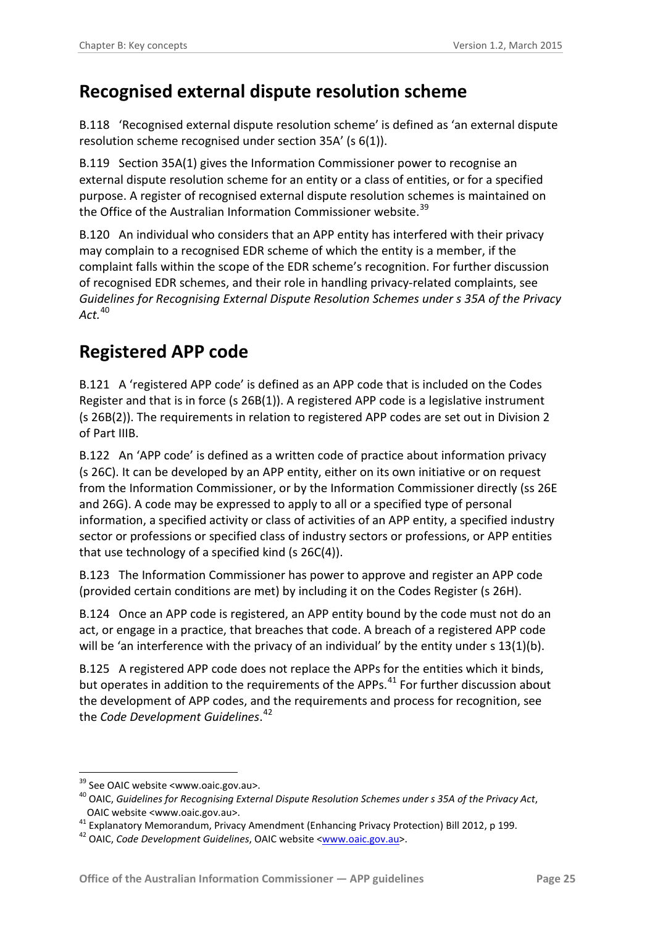### <span id="page-24-0"></span>**Recognised external dispute resolution scheme**

B.118 'Recognised external dispute resolution scheme' is defined as 'an external dispute resolution scheme recognised under section 35A' (s 6(1)).

B.119 Section 35A(1) gives the Information Commissioner power to recognise an external dispute resolution scheme for an entity or a class of entities, or for a specified purpose. A register of recognised external dispute resolution schemes is maintained on the Office of the Australian Information Commissioner website.<sup>[39](#page-24-2)</sup>

B.120 An individual who considers that an APP entity has interfered with their privacy may complain to a recognised EDR scheme of which the entity is a member, if the complaint falls within the scope of the EDR scheme's recognition. For further discussion of recognised EDR schemes, and their role in handling privacy-related complaints, see *Guidelines for Recognising External Dispute Resolution Schemes under s 35A of the Privacy Act.* [40](#page-24-3)

# <span id="page-24-1"></span>**Registered APP code**

B.121 A 'registered APP code' is defined as an APP code that is included on the Codes Register and that is in force (s 26B(1)). A registered APP code is a legislative instrument (s 26B(2)). The requirements in relation to registered APP codes are set out in Division 2 of Part IIIB.

B.122 An 'APP code' is defined as a written code of practice about information privacy (s 26C). It can be developed by an APP entity, either on its own initiative or on request from the Information Commissioner, or by the Information Commissioner directly (ss 26E and 26G). A code may be expressed to apply to all or a specified type of personal information, a specified activity or class of activities of an APP entity, a specified industry sector or professions or specified class of industry sectors or professions, or APP entities that use technology of a specified kind (s 26C(4)).

B.123 The Information Commissioner has power to approve and register an APP code (provided certain conditions are met) by including it on the Codes Register (s 26H).

B.124 Once an APP code is registered, an APP entity bound by the code must not do an act, or engage in a practice, that breaches that code. A breach of a registered APP code will be 'an interference with the privacy of an individual' by the entity under s 13(1)(b).

B.125 A registered APP code does not replace the APPs for the entities which it binds, but operates in addition to the requirements of the APPs.<sup>[41](#page-24-4)</sup> For further discussion about the development of APP codes, and the requirements and process for recognition, see the *Code Development Guidelines*. [42](#page-24-5)

-

<span id="page-24-2"></span><sup>&</sup>lt;sup>39</sup> See OAIC website <www.oaic.gov.au>.<br><sup>40</sup> OAIC, *Guidelines for Recognising External Dispute Resolution Schemes under s 35A of the Privacy Act,* 

<span id="page-24-4"></span><span id="page-24-3"></span>OAIC website <www.oaic.gov.au>. <sup>41</sup> Explanatory Memorandum, Privacy Amendment (Enhancing Privacy Protection) Bill 2012, p 199. <sup>42</sup> OAIC, *Code Development Guidelines*, OAIC website [<www.oaic.gov.au>](http://www.oaic.gov.au/).

<span id="page-24-5"></span>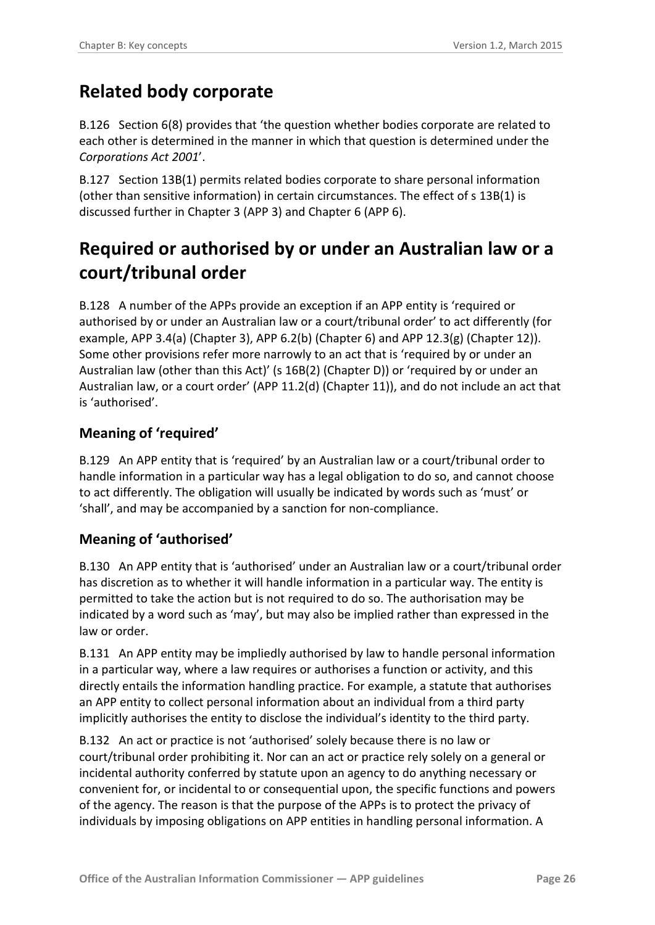### <span id="page-25-0"></span>**Related body corporate**

B.126 Section 6(8) provides that 'the question whether bodies corporate are related to each other is determined in the manner in which that question is determined under the *Corporations Act 2001*'.

B.127 Section 13B(1) permits related bodies corporate to share personal information (other than sensitive information) in certain circumstances. The effect of s 13B(1) is discussed further in Chapter 3 (APP 3) and Chapter 6 (APP 6).

# <span id="page-25-1"></span>**Required or authorised by or under an Australian law or a court/tribunal order**

B.128 A number of the APPs provide an exception if an APP entity is 'required or authorised by or under an Australian law or a court/tribunal order' to act differently (for example, APP 3.4(a) (Chapter 3), APP 6.2(b) (Chapter 6) and APP 12.3(g) (Chapter 12)). Some other provisions refer more narrowly to an act that is 'required by or under an Australian law (other than this Act)' (s 16B(2) (Chapter D)) or 'required by or under an Australian law, or a court order' (APP 11.2(d) (Chapter 11)), and do not include an act that is 'authorised'.

#### <span id="page-25-2"></span>**Meaning of 'required'**

B.129 An APP entity that is 'required' by an Australian law or a court/tribunal order to handle information in a particular way has a legal obligation to do so, and cannot choose to act differently. The obligation will usually be indicated by words such as 'must' or 'shall', and may be accompanied by a sanction for non-compliance.

#### <span id="page-25-3"></span>**Meaning of 'authorised'**

B.130 An APP entity that is 'authorised' under an Australian law or a court/tribunal order has discretion as to whether it will handle information in a particular way. The entity is permitted to take the action but is not required to do so. The authorisation may be indicated by a word such as 'may', but may also be implied rather than expressed in the law or order.

B.131 An APP entity may be impliedly authorised by law to handle personal information in a particular way, where a law requires or authorises a function or activity, and this directly entails the information handling practice. For example, a statute that authorises an APP entity to collect personal information about an individual from a third party implicitly authorises the entity to disclose the individual's identity to the third party.

B.132 An act or practice is not 'authorised' solely because there is no law or court/tribunal order prohibiting it. Nor can an act or practice rely solely on a general or incidental authority conferred by statute upon an agency to do anything necessary or convenient for, or incidental to or consequential upon, the specific functions and powers of the agency. The reason is that the purpose of the APPs is to protect the privacy of individuals by imposing obligations on APP entities in handling personal information. A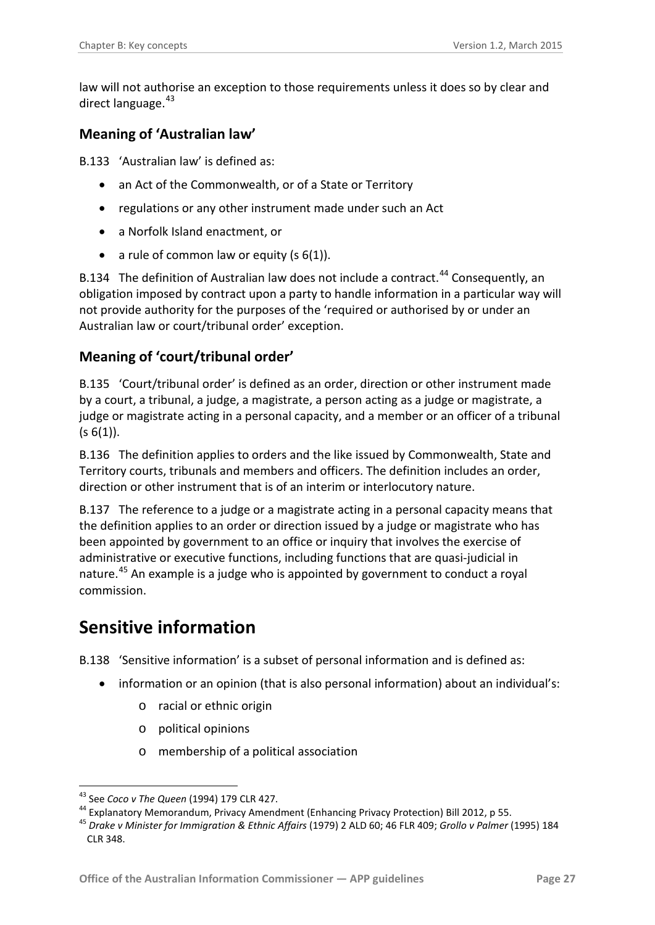law will not authorise an exception to those requirements unless it does so by clear and direct language. <sup>[43](#page-26-4)</sup>

#### <span id="page-26-0"></span>**Meaning of 'Australian law'**

B.133 'Australian law' is defined as:

- an Act of the Commonwealth, or of a State or Territory
- regulations or any other instrument made under such an Act
- a Norfolk Island enactment, or
- a rule of common law or equity  $(s 6(1))$ .

B.134 The definition of Australian law does not include a contract.<sup>[44](#page-26-5)</sup> Consequently, an obligation imposed by contract upon a party to handle information in a particular way will not provide authority for the purposes of the 'required or authorised by or under an Australian law or court/tribunal order' exception.

#### <span id="page-26-1"></span>**Meaning of 'court/tribunal order'**

B.135 'Court/tribunal order' is defined as an order, direction or other instrument made by a court, a tribunal, a judge, a magistrate, a person acting as a judge or magistrate, a judge or magistrate acting in a personal capacity, and a member or an officer of a tribunal  $(s 6(1)).$ 

B.136 The definition applies to orders and the like issued by Commonwealth, State and Territory courts, tribunals and members and officers. The definition includes an order, direction or other instrument that is of an interim or interlocutory nature.

B.137 The reference to a judge or a magistrate acting in a personal capacity means that the definition applies to an order or direction issued by a judge or magistrate who has been appointed by government to an office or inquiry that involves the exercise of administrative or executive functions, including functions that are quasi-judicial in nature.<sup>[45](#page-26-6)</sup> An example is a judge who is appointed by government to conduct a royal commission.

### <span id="page-26-2"></span>**Sensitive information**

<span id="page-26-3"></span>B.138 'Sensitive information' is a subset of personal information and is defined as:

- information or an opinion (that is also personal information) about an individual's:
	- o racial or ethnic origin
	- o political opinions
	- o membership of a political association

<sup>1</sup> 

<span id="page-26-6"></span>

<span id="page-26-5"></span><span id="page-26-4"></span><sup>&</sup>lt;sup>43</sup> See Coco v The Queen (1994) 179 CLR 427.<br><sup>44</sup> Explanatory Memorandum, Privacy Amendment (Enhancing Privacy Protection) Bill 2012, p 55.<br><sup>45</sup> Drake v Minister for Immigration & Ethnic Affairs (1979) 2 ALD 60; 46 FLR 40 CLR 348.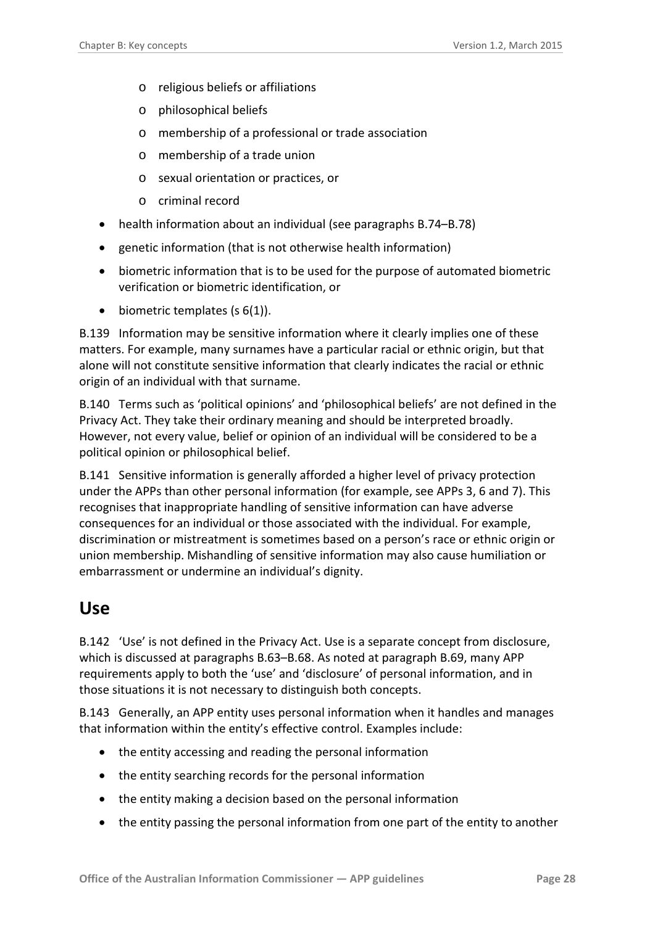- o religious beliefs or affiliations
- o philosophical beliefs
- o membership of a professional or trade association
- o membership of a trade union
- o sexual orientation or practices, or
- o criminal record
- health information about an individual (see paragraphs [B.74](#page-15-4)[–B.78\)](#page-17-2)
- genetic information (that is not otherwise health information)
- biometric information that is to be used for the purpose of automated biometric verification or biometric identification, or
- $\bullet$  biometric templates (s 6(1)).

B.139 Information may be sensitive information where it clearly implies one of these matters. For example, many surnames have a particular racial or ethnic origin, but that alone will not constitute sensitive information that clearly indicates the racial or ethnic origin of an individual with that surname.

B.140 Terms such as 'political opinions' and 'philosophical beliefs' are not defined in the Privacy Act. They take their ordinary meaning and should be interpreted broadly. However, not every value, belief or opinion of an individual will be considered to be a political opinion or philosophical belief.

<span id="page-27-2"></span>B.141 Sensitive information is generally afforded a higher level of privacy protection under the APPs than other personal information (for example, see APPs 3, 6 and 7). This recognises that inappropriate handling of sensitive information can have adverse consequences for an individual or those associated with the individual. For example, discrimination or mistreatment is sometimes based on a person's race or ethnic origin or union membership. Mishandling of sensitive information may also cause humiliation or embarrassment or undermine an individual's dignity.

#### <span id="page-27-0"></span>**Use**

<span id="page-27-1"></span>B.142 'Use' is not defined in the Privacy Act. Use is a separate concept from disclosure, which is discussed at paragraphs [B.63](#page-12-6)[–B.68.](#page-13-4) As noted at paragraph [B.69,](#page-13-5) many APP requirements apply to both the 'use' and 'disclosure' of personal information, and in those situations it is not necessary to distinguish both concepts.

B.143 Generally, an APP entity uses personal information when it handles and manages that information within the entity's effective control. Examples include:

- the entity accessing and reading the personal information
- the entity searching records for the personal information
- the entity making a decision based on the personal information
- the entity passing the personal information from one part of the entity to another